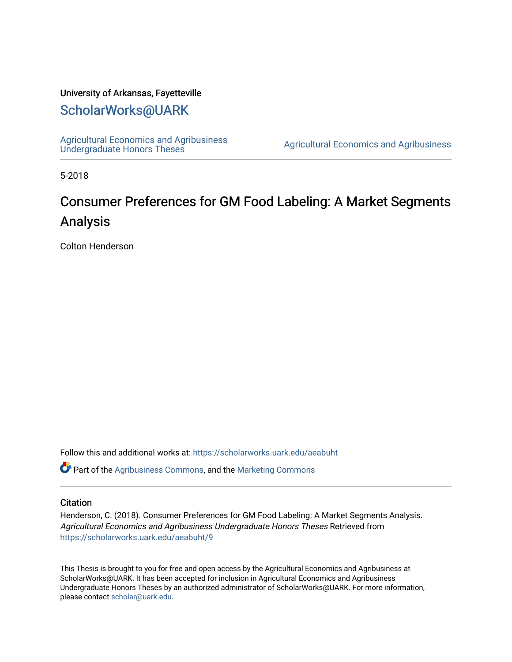### University of Arkansas, Fayetteville

# [ScholarWorks@UARK](https://scholarworks.uark.edu/)

[Agricultural Economics and Agribusiness](https://scholarworks.uark.edu/aeabuht)<br>Undergraduate Honors Theses

Agricultural Economics and Agribusiness

5-2018

# Consumer Preferences for GM Food Labeling: A Market Segments Analysis

Colton Henderson

Follow this and additional works at: [https://scholarworks.uark.edu/aeabuht](https://scholarworks.uark.edu/aeabuht?utm_source=scholarworks.uark.edu%2Faeabuht%2F9&utm_medium=PDF&utm_campaign=PDFCoverPages)

Part of the [Agribusiness Commons,](http://network.bepress.com/hgg/discipline/1051?utm_source=scholarworks.uark.edu%2Faeabuht%2F9&utm_medium=PDF&utm_campaign=PDFCoverPages) and the [Marketing Commons](http://network.bepress.com/hgg/discipline/638?utm_source=scholarworks.uark.edu%2Faeabuht%2F9&utm_medium=PDF&utm_campaign=PDFCoverPages) 

#### **Citation**

Henderson, C. (2018). Consumer Preferences for GM Food Labeling: A Market Segments Analysis. Agricultural Economics and Agribusiness Undergraduate Honors Theses Retrieved from [https://scholarworks.uark.edu/aeabuht/9](https://scholarworks.uark.edu/aeabuht/9?utm_source=scholarworks.uark.edu%2Faeabuht%2F9&utm_medium=PDF&utm_campaign=PDFCoverPages)

This Thesis is brought to you for free and open access by the Agricultural Economics and Agribusiness at ScholarWorks@UARK. It has been accepted for inclusion in Agricultural Economics and Agribusiness Undergraduate Honors Theses by an authorized administrator of ScholarWorks@UARK. For more information, please contact [scholar@uark.edu](mailto:scholar@uark.edu).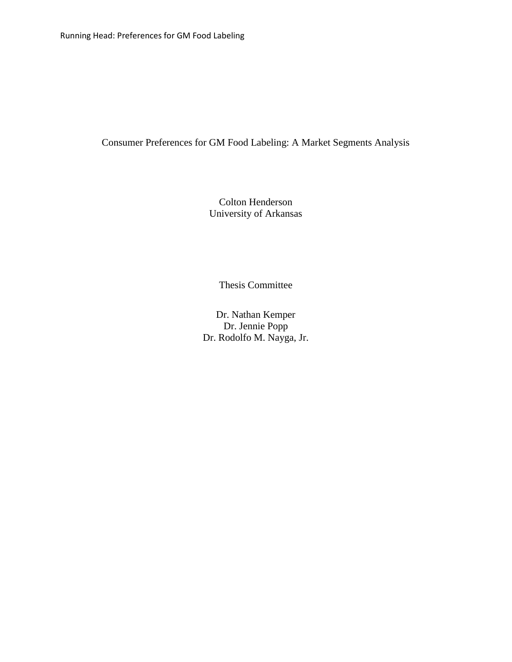## Consumer Preferences for GM Food Labeling: A Market Segments Analysis

Colton Henderson University of Arkansas

Thesis Committee

Dr. Nathan Kemper Dr. Jennie Popp Dr. Rodolfo M. Nayga, Jr.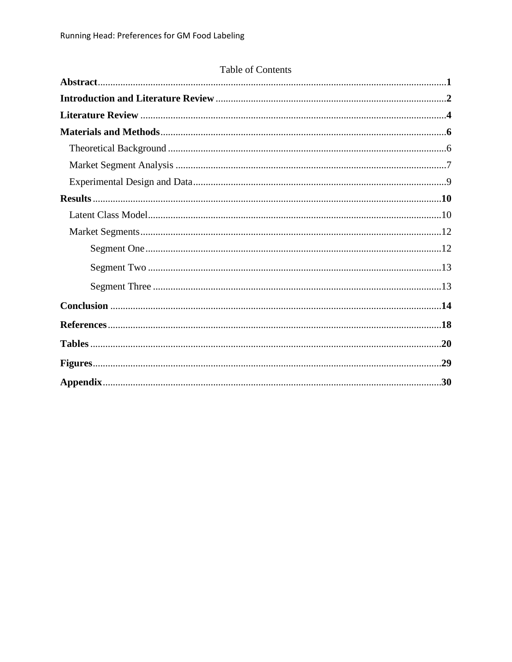# Table of Contents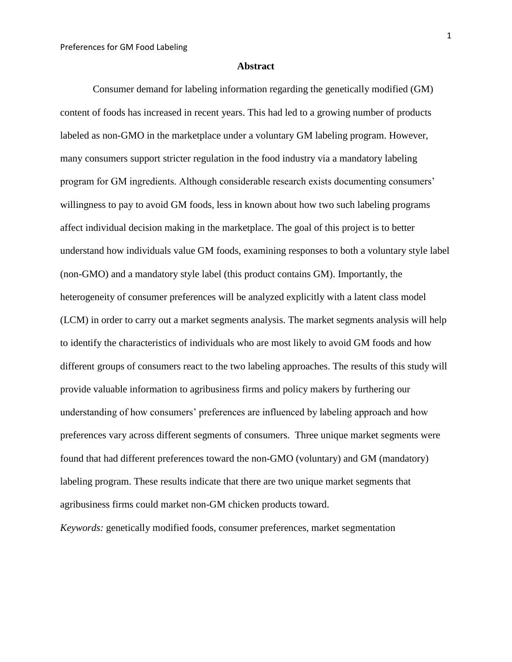#### **Abstract**

Consumer demand for labeling information regarding the genetically modified (GM) content of foods has increased in recent years. This had led to a growing number of products labeled as non-GMO in the marketplace under a voluntary GM labeling program. However, many consumers support stricter regulation in the food industry via a mandatory labeling program for GM ingredients. Although considerable research exists documenting consumers' willingness to pay to avoid GM foods, less in known about how two such labeling programs affect individual decision making in the marketplace. The goal of this project is to better understand how individuals value GM foods, examining responses to both a voluntary style label (non-GMO) and a mandatory style label (this product contains GM). Importantly, the heterogeneity of consumer preferences will be analyzed explicitly with a latent class model (LCM) in order to carry out a market segments analysis. The market segments analysis will help to identify the characteristics of individuals who are most likely to avoid GM foods and how different groups of consumers react to the two labeling approaches. The results of this study will provide valuable information to agribusiness firms and policy makers by furthering our understanding of how consumers' preferences are influenced by labeling approach and how preferences vary across different segments of consumers. Three unique market segments were found that had different preferences toward the non-GMO (voluntary) and GM (mandatory) labeling program. These results indicate that there are two unique market segments that agribusiness firms could market non-GM chicken products toward.

*Keywords:* genetically modified foods, consumer preferences, market segmentation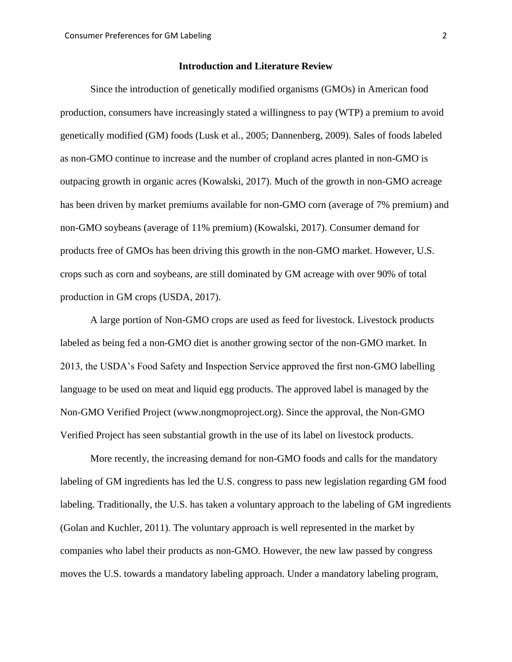#### **Introduction and Literature Review**

Since the introduction of genetically modified organisms (GMOs) in American food production, consumers have increasingly stated a willingness to pay (WTP) a premium to avoid genetically modified (GM) foods (Lusk et al., 2005; Dannenberg, 2009). Sales of foods labeled as non-GMO continue to increase and the number of cropland acres planted in non-GMO is outpacing growth in organic acres (Kowalski, 2017). Much of the growth in non-GMO acreage has been driven by market premiums available for non-GMO corn (average of 7% premium) and non-GMO soybeans (average of 11% premium) (Kowalski, 2017). Consumer demand for products free of GMOs has been driving this growth in the non-GMO market. However, U.S. crops such as corn and soybeans, are still dominated by GM acreage with over 90% of total production in GM crops (USDA, 2017).

A large portion of Non-GMO crops are used as feed for livestock. Livestock products labeled as being fed a non-GMO diet is another growing sector of the non-GMO market. In 2013, the USDA's Food Safety and Inspection Service approved the first non-GMO labelling language to be used on meat and liquid egg products. The approved label is managed by the Non-GMO Verified Project (www.nongmoproject.org). Since the approval, the Non-GMO Verified Project has seen substantial growth in the use of its label on livestock products.

More recently, the increasing demand for non-GMO foods and calls for the mandatory labeling of GM ingredients has led the U.S. congress to pass new legislation regarding GM food labeling. Traditionally, the U.S. has taken a voluntary approach to the labeling of GM ingredients (Golan and Kuchler, 2011). The voluntary approach is well represented in the market by companies who label their products as non-GMO. However, the new law passed by congress moves the U.S. towards a mandatory labeling approach. Under a mandatory labeling program,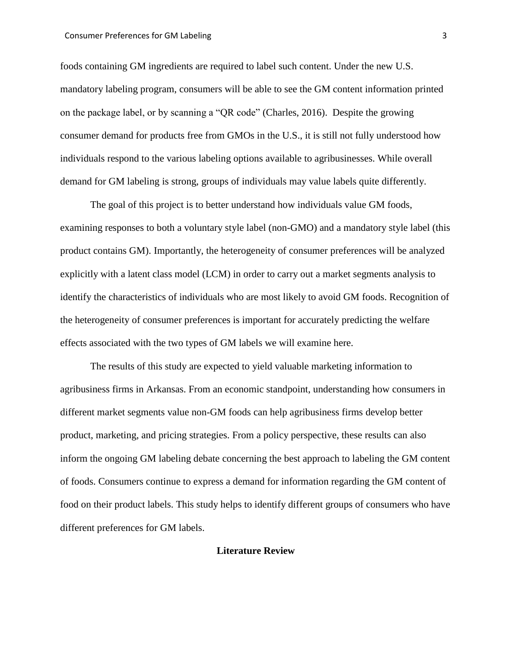#### Consumer Preferences for GM Labeling 3

foods containing GM ingredients are required to label such content. Under the new U.S. mandatory labeling program, consumers will be able to see the GM content information printed on the package label, or by scanning a "QR code" (Charles, 2016). Despite the growing consumer demand for products free from GMOs in the U.S., it is still not fully understood how individuals respond to the various labeling options available to agribusinesses. While overall demand for GM labeling is strong, groups of individuals may value labels quite differently.

The goal of this project is to better understand how individuals value GM foods, examining responses to both a voluntary style label (non-GMO) and a mandatory style label (this product contains GM). Importantly, the heterogeneity of consumer preferences will be analyzed explicitly with a latent class model (LCM) in order to carry out a market segments analysis to identify the characteristics of individuals who are most likely to avoid GM foods. Recognition of the heterogeneity of consumer preferences is important for accurately predicting the welfare effects associated with the two types of GM labels we will examine here.

The results of this study are expected to yield valuable marketing information to agribusiness firms in Arkansas. From an economic standpoint, understanding how consumers in different market segments value non-GM foods can help agribusiness firms develop better product, marketing, and pricing strategies. From a policy perspective, these results can also inform the ongoing GM labeling debate concerning the best approach to labeling the GM content of foods. Consumers continue to express a demand for information regarding the GM content of food on their product labels. This study helps to identify different groups of consumers who have different preferences for GM labels.

#### **Literature Review**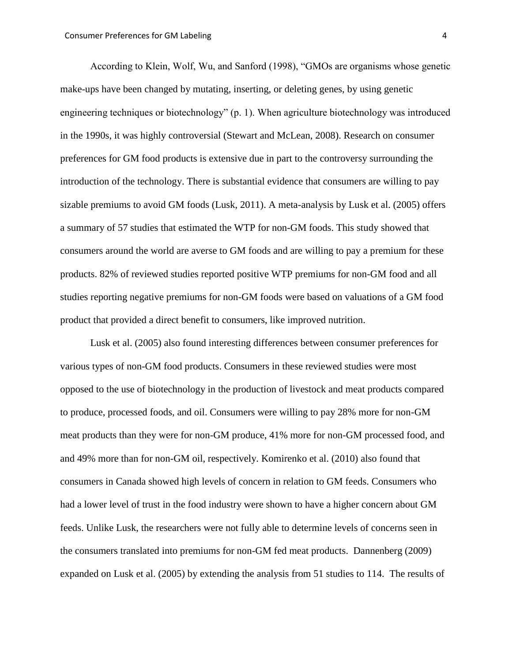According to Klein, Wolf, Wu, and Sanford (1998), "GMOs are organisms whose genetic make-ups have been changed by mutating, inserting, or deleting genes, by using genetic engineering techniques or biotechnology" (p. 1). When agriculture biotechnology was introduced in the 1990s, it was highly controversial (Stewart and McLean, 2008). Research on consumer preferences for GM food products is extensive due in part to the controversy surrounding the introduction of the technology. There is substantial evidence that consumers are willing to pay sizable premiums to avoid GM foods (Lusk, 2011). A meta-analysis by Lusk et al. (2005) offers a summary of 57 studies that estimated the WTP for non-GM foods. This study showed that consumers around the world are averse to GM foods and are willing to pay a premium for these products. 82% of reviewed studies reported positive WTP premiums for non-GM food and all studies reporting negative premiums for non-GM foods were based on valuations of a GM food product that provided a direct benefit to consumers, like improved nutrition.

Lusk et al. (2005) also found interesting differences between consumer preferences for various types of non-GM food products. Consumers in these reviewed studies were most opposed to the use of biotechnology in the production of livestock and meat products compared to produce, processed foods, and oil. Consumers were willing to pay 28% more for non-GM meat products than they were for non-GM produce, 41% more for non-GM processed food, and and 49% more than for non-GM oil, respectively. Komirenko et al. (2010) also found that consumers in Canada showed high levels of concern in relation to GM feeds. Consumers who had a lower level of trust in the food industry were shown to have a higher concern about GM feeds. Unlike Lusk, the researchers were not fully able to determine levels of concerns seen in the consumers translated into premiums for non-GM fed meat products. Dannenberg (2009) expanded on Lusk et al. (2005) by extending the analysis from 51 studies to 114. The results of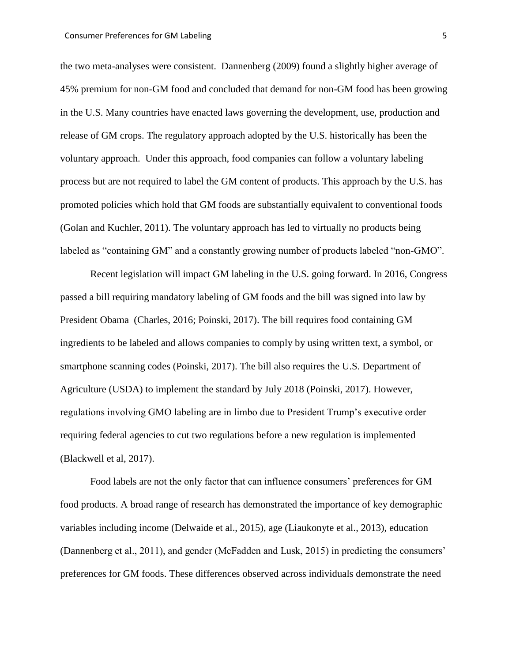the two meta-analyses were consistent. Dannenberg (2009) found a slightly higher average of 45% premium for non-GM food and concluded that demand for non-GM food has been growing in the U.S. Many countries have enacted laws governing the development, use, production and release of GM crops. The regulatory approach adopted by the U.S. historically has been the voluntary approach. Under this approach, food companies can follow a voluntary labeling process but are not required to label the GM content of products. This approach by the U.S. has promoted policies which hold that GM foods are substantially equivalent to conventional foods (Golan and Kuchler, 2011). The voluntary approach has led to virtually no products being labeled as "containing GM" and a constantly growing number of products labeled "non-GMO".

Recent legislation will impact GM labeling in the U.S. going forward. In 2016, Congress passed a bill requiring mandatory labeling of GM foods and the bill was signed into law by President Obama (Charles, 2016; Poinski, 2017). The bill requires food containing GM ingredients to be labeled and allows companies to comply by using written text, a symbol, or smartphone scanning codes (Poinski, 2017). The bill also requires the U.S. Department of Agriculture (USDA) to implement the standard by July 2018 (Poinski, 2017). However, regulations involving GMO labeling are in limbo due to President Trump's executive order requiring federal agencies to cut two regulations before a new regulation is implemented (Blackwell et al, 2017).

Food labels are not the only factor that can influence consumers' preferences for GM food products. A broad range of research has demonstrated the importance of key demographic variables including income (Delwaide et al., 2015), age (Liaukonyte et al., 2013), education (Dannenberg et al., 2011), and gender (McFadden and Lusk, 2015) in predicting the consumers' preferences for GM foods. These differences observed across individuals demonstrate the need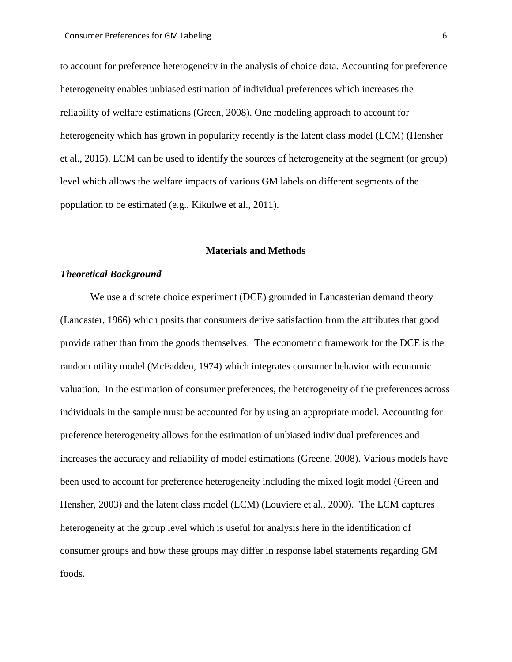to account for preference heterogeneity in the analysis of choice data. Accounting for preference heterogeneity enables unbiased estimation of individual preferences which increases the reliability of welfare estimations (Green, 2008). One modeling approach to account for heterogeneity which has grown in popularity recently is the latent class model (LCM) (Hensher et al., 2015). LCM can be used to identify the sources of heterogeneity at the segment (or group) level which allows the welfare impacts of various GM labels on different segments of the population to be estimated (e.g., Kikulwe et al., 2011).

#### **Materials and Methods**

#### *Theoretical Background*

We use a discrete choice experiment (DCE) grounded in Lancasterian demand theory (Lancaster, 1966) which posits that consumers derive satisfaction from the attributes that good provide rather than from the goods themselves. The econometric framework for the DCE is the random utility model (McFadden, 1974) which integrates consumer behavior with economic valuation. In the estimation of consumer preferences, the heterogeneity of the preferences across individuals in the sample must be accounted for by using an appropriate model. Accounting for preference heterogeneity allows for the estimation of unbiased individual preferences and increases the accuracy and reliability of model estimations (Greene, 2008). Various models have been used to account for preference heterogeneity including the mixed logit model (Green and Hensher, 2003) and the latent class model (LCM) (Louviere et al., 2000). The LCM captures heterogeneity at the group level which is useful for analysis here in the identification of consumer groups and how these groups may differ in response label statements regarding GM foods.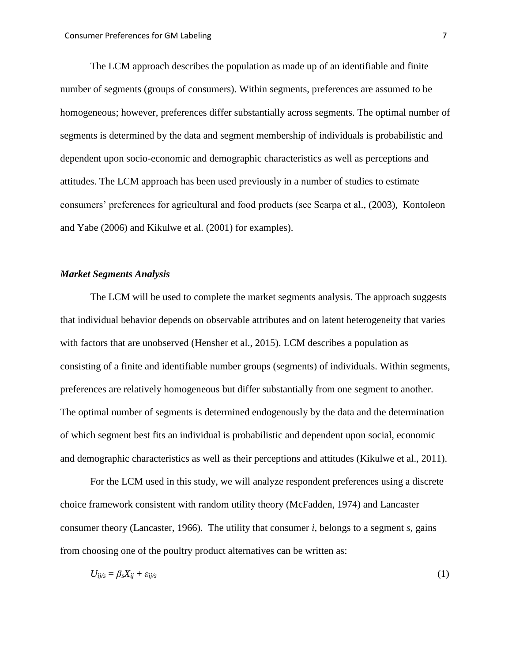The LCM approach describes the population as made up of an identifiable and finite number of segments (groups of consumers). Within segments, preferences are assumed to be homogeneous; however, preferences differ substantially across segments. The optimal number of segments is determined by the data and segment membership of individuals is probabilistic and dependent upon socio-economic and demographic characteristics as well as perceptions and attitudes. The LCM approach has been used previously in a number of studies to estimate consumers' preferences for agricultural and food products (see Scarpa et al., (2003), Kontoleon and Yabe (2006) and Kikulwe et al. (2001) for examples).

#### *Market Segments Analysis*

The LCM will be used to complete the market segments analysis. The approach suggests that individual behavior depends on observable attributes and on latent heterogeneity that varies with factors that are unobserved (Hensher et al., 2015). LCM describes a population as consisting of a finite and identifiable number groups (segments) of individuals. Within segments, preferences are relatively homogeneous but differ substantially from one segment to another. The optimal number of segments is determined endogenously by the data and the determination of which segment best fits an individual is probabilistic and dependent upon social, economic and demographic characteristics as well as their perceptions and attitudes (Kikulwe et al., 2011).

For the LCM used in this study, we will analyze respondent preferences using a discrete choice framework consistent with random utility theory (McFadden, 1974) and Lancaster consumer theory (Lancaster, 1966). The utility that consumer *i,* belongs to a segment *s,* gains from choosing one of the poultry product alternatives can be written as:

$$
U_{ij/s} = \beta_s X_{ij} + \varepsilon_{ij/s}
$$
 (1)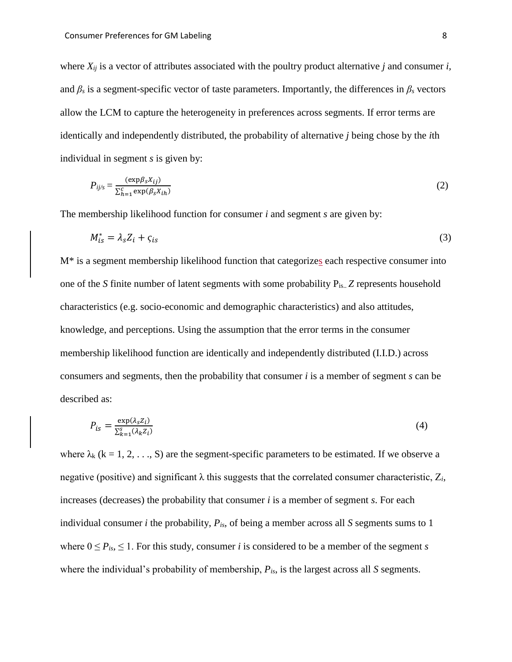where  $X_{ij}$  is a vector of attributes associated with the poultry product alternative *j* and consumer *i*, and  $\beta_s$  is a segment-specific vector of taste parameters. Importantly, the differences in  $\beta_s$  vectors allow the LCM to capture the heterogeneity in preferences across segments. If error terms are identically and independently distributed, the probability of alternative *j* being chose by the *i*th individual in segment *s* is given by:

$$
P_{ij/s} = \frac{(\exp \beta_s X_{ij})}{\sum_{h=1}^{c} \exp(\beta_s X_{ih})}
$$
 (2)

The membership likelihood function for consumer *i* and segment *s* are given by:

$$
M_{is}^* = \lambda_s Z_i + \varsigma_{is} \tag{3}
$$

M\* is a segment membership likelihood function that categorizes each respective consumer into one of the *S* finite number of latent segments with some probability Pis.. *Z* represents household characteristics (e.g. socio-economic and demographic characteristics) and also attitudes, knowledge, and perceptions. Using the assumption that the error terms in the consumer membership likelihood function are identically and independently distributed (I.I.D.) across consumers and segments, then the probability that consumer *i* is a member of segment *s* can be described as:

$$
P_{is} = \frac{\exp(\lambda_s Z_i)}{\sum_{k=1}^{s} (\lambda_k Z_i)}\tag{4}
$$

where  $\lambda_k$  (k = 1, 2, ..., S) are the segment-specific parameters to be estimated. If we observe a negative (positive) and significant  $\lambda$  this suggests that the correlated consumer characteristic,  $Z_i$ , increases (decreases) the probability that consumer *i* is a member of segment *s*. For each individual consumer *i* the probability, *Pis*, of being a member across all *S* segments sums to 1 where  $0 \le P_{is} \le 1$ . For this study, consumer *i* is considered to be a member of the segment *s* where the individual's probability of membership, *Pis*, is the largest across all *S* segments.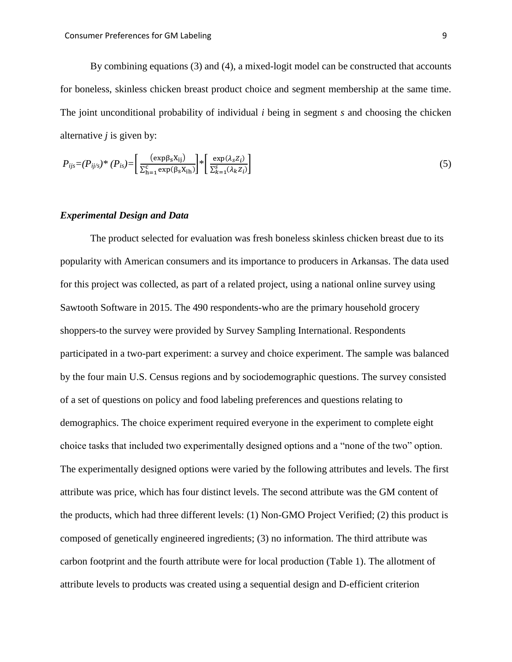By combining equations (3) and (4), a mixed-logit model can be constructed that accounts for boneless, skinless chicken breast product choice and segment membership at the same time. The joint unconditional probability of individual *i* being in segment *s* and choosing the chicken alternative *j* is given by:

$$
P_{ijs} = (P_{ijs})^* (P_{is}) = \left[\frac{(\exp \beta_s X_{ij})}{\sum_{h=1}^c \exp(\beta_s X_{ih})}\right]^* \left[\frac{\exp(\lambda_s Z_i)}{\sum_{k=1}^s (\lambda_k Z_i)}\right]
$$
(5)

#### *Experimental Design and Data*

The product selected for evaluation was fresh boneless skinless chicken breast due to its popularity with American consumers and its importance to producers in Arkansas. The data used for this project was collected, as part of a related project, using a national online survey using Sawtooth Software in 2015. The 490 respondents-who are the primary household grocery shoppers-to the survey were provided by Survey Sampling International. Respondents participated in a two-part experiment: a survey and choice experiment. The sample was balanced by the four main U.S. Census regions and by sociodemographic questions. The survey consisted of a set of questions on policy and food labeling preferences and questions relating to demographics. The choice experiment required everyone in the experiment to complete eight choice tasks that included two experimentally designed options and a "none of the two" option. The experimentally designed options were varied by the following attributes and levels. The first attribute was price, which has four distinct levels. The second attribute was the GM content of the products, which had three different levels: (1) Non-GMO Project Verified; (2) this product is composed of genetically engineered ingredients; (3) no information. The third attribute was carbon footprint and the fourth attribute were for local production (Table 1). The allotment of attribute levels to products was created using a sequential design and D-efficient criterion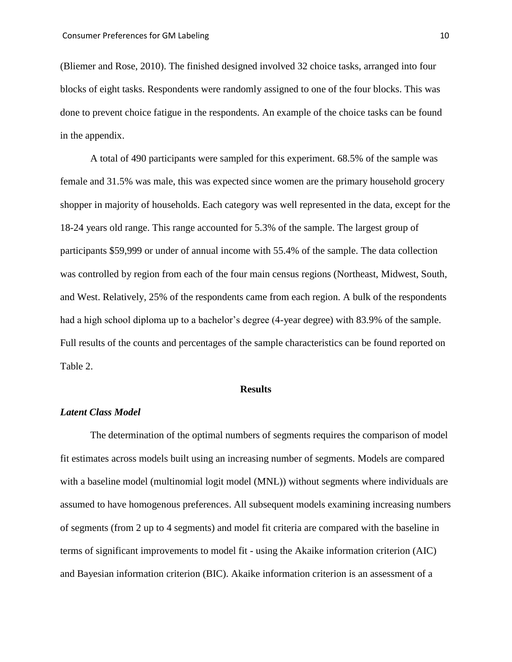(Bliemer and Rose, 2010). The finished designed involved 32 choice tasks, arranged into four blocks of eight tasks. Respondents were randomly assigned to one of the four blocks. This was done to prevent choice fatigue in the respondents. An example of the choice tasks can be found in the appendix.

A total of 490 participants were sampled for this experiment. 68.5% of the sample was female and 31.5% was male, this was expected since women are the primary household grocery shopper in majority of households. Each category was well represented in the data, except for the 18-24 years old range. This range accounted for 5.3% of the sample. The largest group of participants \$59,999 or under of annual income with 55.4% of the sample. The data collection was controlled by region from each of the four main census regions (Northeast, Midwest, South, and West. Relatively, 25% of the respondents came from each region. A bulk of the respondents had a high school diploma up to a bachelor's degree (4-year degree) with 83.9% of the sample. Full results of the counts and percentages of the sample characteristics can be found reported on Table 2.

#### **Results**

#### *Latent Class Model*

The determination of the optimal numbers of segments requires the comparison of model fit estimates across models built using an increasing number of segments. Models are compared with a baseline model (multinomial logit model (MNL)) without segments where individuals are assumed to have homogenous preferences. All subsequent models examining increasing numbers of segments (from 2 up to 4 segments) and model fit criteria are compared with the baseline in terms of significant improvements to model fit - using the Akaike information criterion (AIC) and Bayesian information criterion (BIC). Akaike information criterion is an assessment of a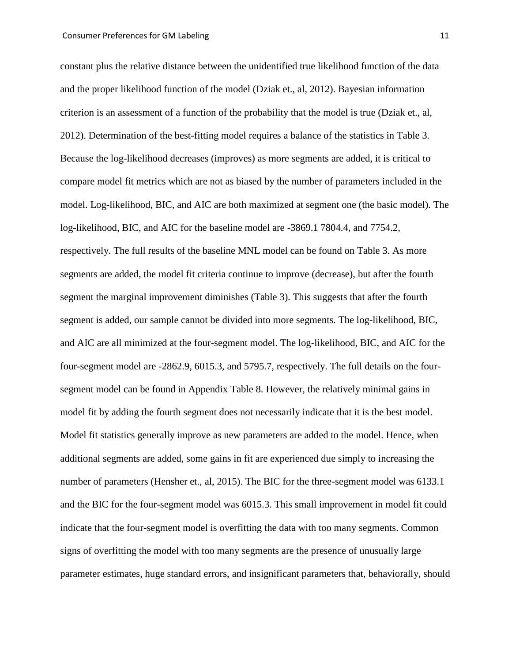constant plus the relative distance between the unidentified true likelihood function of the data and the proper likelihood function of the model (Dziak et., al, 2012). Bayesian information criterion is an assessment of a function of the probability that the model is true (Dziak et., al, 2012). Determination of the best-fitting model requires a balance of the statistics in Table 3. Because the log-likelihood decreases (improves) as more segments are added, it is critical to compare model fit metrics which are not as biased by the number of parameters included in the model. Log-likelihood, BIC, and AIC are both maximized at segment one (the basic model). The log-likelihood, BIC, and AIC for the baseline model are -3869.1 7804.4, and 7754.2, respectively. The full results of the baseline MNL model can be found on Table 3. As more segments are added, the model fit criteria continue to improve (decrease), but after the fourth segment the marginal improvement diminishes (Table 3). This suggests that after the fourth segment is added, our sample cannot be divided into more segments. The log-likelihood, BIC, and AIC are all minimized at the four-segment model. The log-likelihood, BIC, and AIC for the four-segment model are -2862.9, 6015.3, and 5795.7, respectively. The full details on the foursegment model can be found in Appendix Table 8. However, the relatively minimal gains in model fit by adding the fourth segment does not necessarily indicate that it is the best model. Model fit statistics generally improve as new parameters are added to the model. Hence, when additional segments are added, some gains in fit are experienced due simply to increasing the number of parameters (Hensher et., al, 2015). The BIC for the three-segment model was 6133.1 and the BIC for the four-segment model was 6015.3. This small improvement in model fit could indicate that the four-segment model is overfitting the data with too many segments. Common signs of overfitting the model with too many segments are the presence of unusually large parameter estimates, huge standard errors, and insignificant parameters that, behaviorally, should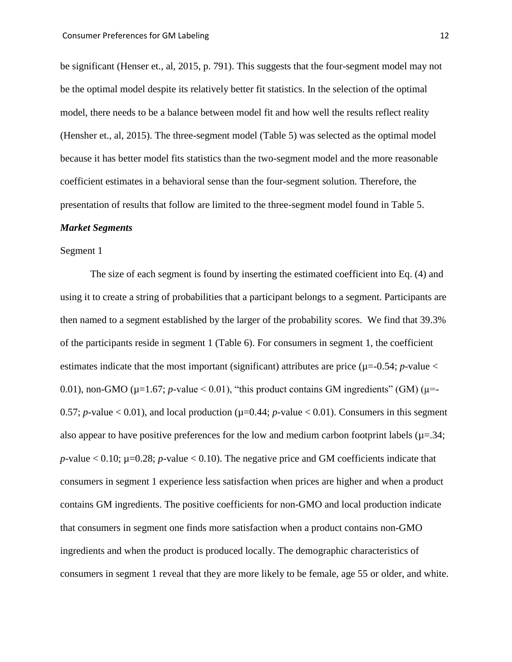be significant (Henser et., al, 2015, p. 791). This suggests that the four-segment model may not be the optimal model despite its relatively better fit statistics. In the selection of the optimal model, there needs to be a balance between model fit and how well the results reflect reality (Hensher et., al, 2015). The three-segment model (Table 5) was selected as the optimal model because it has better model fits statistics than the two-segment model and the more reasonable coefficient estimates in a behavioral sense than the four-segment solution. Therefore, the presentation of results that follow are limited to the three-segment model found in Table 5.

#### *Market Segments*

#### Segment 1

The size of each segment is found by inserting the estimated coefficient into Eq. (4) and using it to create a string of probabilities that a participant belongs to a segment. Participants are then named to a segment established by the larger of the probability scores. We find that 39.3% of the participants reside in segment 1 (Table 6). For consumers in segment 1, the coefficient estimates indicate that the most important (significant) attributes are price ( $\mu$ =-0.54; *p*-value < 0.01), non-GMO ( $\mu$ =1.67; *p*-value < 0.01), "this product contains GM ingredients" (GM) ( $\mu$ =-0.57; *p*-value  $\lt$  0.01), and local production ( $\mu$ =0.44; *p*-value  $\lt$  0.01). Consumers in this segment also appear to have positive preferences for the low and medium carbon footprint labels ( $\mu$ =.34;  $p$ -value  $< 0.10$ ;  $\mu$ =0.28;  $p$ -value  $< 0.10$ ). The negative price and GM coefficients indicate that consumers in segment 1 experience less satisfaction when prices are higher and when a product contains GM ingredients. The positive coefficients for non-GMO and local production indicate that consumers in segment one finds more satisfaction when a product contains non-GMO ingredients and when the product is produced locally. The demographic characteristics of consumers in segment 1 reveal that they are more likely to be female, age 55 or older, and white.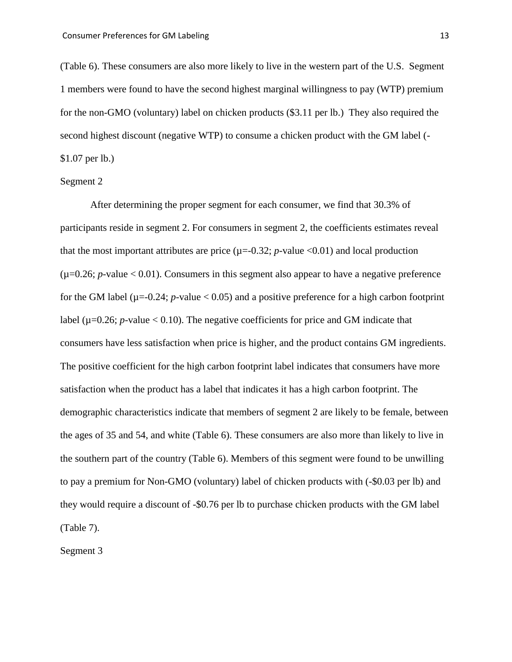(Table 6). These consumers are also more likely to live in the western part of the U.S. Segment 1 members were found to have the second highest marginal willingness to pay (WTP) premium for the non-GMO (voluntary) label on chicken products (\$3.11 per lb.) They also required the second highest discount (negative WTP) to consume a chicken product with the GM label (- \$1.07 per lb.)

#### Segment 2

After determining the proper segment for each consumer, we find that 30.3% of participants reside in segment 2. For consumers in segment 2, the coefficients estimates reveal that the most important attributes are price  $(\mu = -0.32; p-value < 0.01)$  and local production  $(\mu=0.26; p-value < 0.01)$ . Consumers in this segment also appear to have a negative preference for the GM label ( $\mu$ =-0.24; *p*-value < 0.05) and a positive preference for a high carbon footprint label ( $\mu$ =0.26; *p*-value < 0.10). The negative coefficients for price and GM indicate that consumers have less satisfaction when price is higher, and the product contains GM ingredients. The positive coefficient for the high carbon footprint label indicates that consumers have more satisfaction when the product has a label that indicates it has a high carbon footprint. The demographic characteristics indicate that members of segment 2 are likely to be female, between the ages of 35 and 54, and white (Table 6). These consumers are also more than likely to live in the southern part of the country (Table 6). Members of this segment were found to be unwilling to pay a premium for Non-GMO (voluntary) label of chicken products with (-\$0.03 per lb) and they would require a discount of -\$0.76 per lb to purchase chicken products with the GM label (Table 7).

Segment 3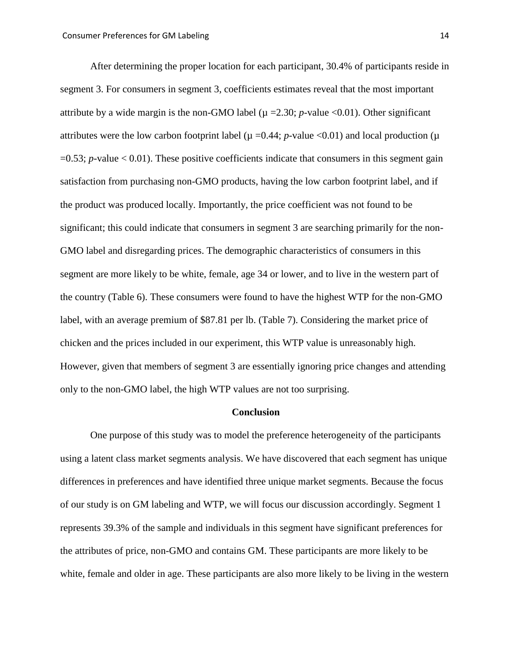After determining the proper location for each participant, 30.4% of participants reside in segment 3. For consumers in segment 3, coefficients estimates reveal that the most important attribute by a wide margin is the non-GMO label ( $\mu = 2.30$ ; *p*-value <0.01). Other significant attributes were the low carbon footprint label ( $\mu$  =0.44; *p*-value <0.01) and local production ( $\mu$ =0.53; *p-*value < 0.01). These positive coefficients indicate that consumers in this segment gain satisfaction from purchasing non-GMO products, having the low carbon footprint label, and if the product was produced locally. Importantly, the price coefficient was not found to be significant; this could indicate that consumers in segment 3 are searching primarily for the non-GMO label and disregarding prices. The demographic characteristics of consumers in this segment are more likely to be white, female, age 34 or lower, and to live in the western part of the country (Table 6). These consumers were found to have the highest WTP for the non-GMO label, with an average premium of \$87.81 per lb. (Table 7). Considering the market price of chicken and the prices included in our experiment, this WTP value is unreasonably high. However, given that members of segment 3 are essentially ignoring price changes and attending only to the non-GMO label, the high WTP values are not too surprising.

#### **Conclusion**

One purpose of this study was to model the preference heterogeneity of the participants using a latent class market segments analysis. We have discovered that each segment has unique differences in preferences and have identified three unique market segments. Because the focus of our study is on GM labeling and WTP, we will focus our discussion accordingly. Segment 1 represents 39.3% of the sample and individuals in this segment have significant preferences for the attributes of price, non-GMO and contains GM. These participants are more likely to be white, female and older in age. These participants are also more likely to be living in the western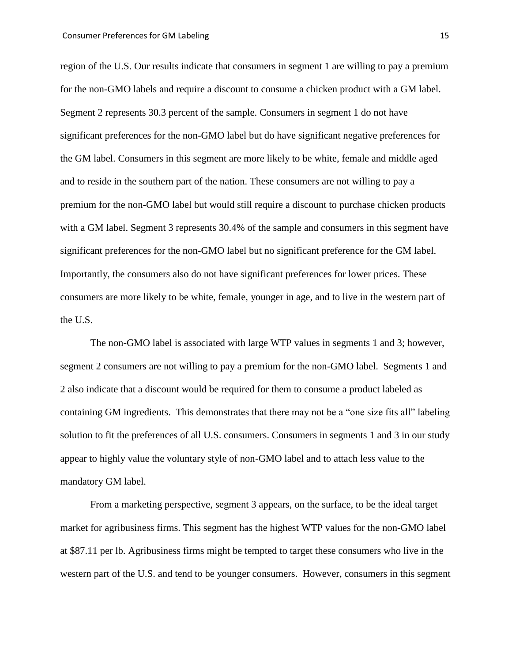region of the U.S. Our results indicate that consumers in segment 1 are willing to pay a premium for the non-GMO labels and require a discount to consume a chicken product with a GM label. Segment 2 represents 30.3 percent of the sample. Consumers in segment 1 do not have significant preferences for the non-GMO label but do have significant negative preferences for the GM label. Consumers in this segment are more likely to be white, female and middle aged and to reside in the southern part of the nation. These consumers are not willing to pay a premium for the non-GMO label but would still require a discount to purchase chicken products with a GM label. Segment 3 represents 30.4% of the sample and consumers in this segment have significant preferences for the non-GMO label but no significant preference for the GM label. Importantly, the consumers also do not have significant preferences for lower prices. These consumers are more likely to be white, female, younger in age, and to live in the western part of the U.S.

The non-GMO label is associated with large WTP values in segments 1 and 3; however, segment 2 consumers are not willing to pay a premium for the non-GMO label. Segments 1 and 2 also indicate that a discount would be required for them to consume a product labeled as containing GM ingredients. This demonstrates that there may not be a "one size fits all" labeling solution to fit the preferences of all U.S. consumers. Consumers in segments 1 and 3 in our study appear to highly value the voluntary style of non-GMO label and to attach less value to the mandatory GM label.

From a marketing perspective, segment 3 appears, on the surface, to be the ideal target market for agribusiness firms. This segment has the highest WTP values for the non-GMO label at \$87.11 per lb. Agribusiness firms might be tempted to target these consumers who live in the western part of the U.S. and tend to be younger consumers. However, consumers in this segment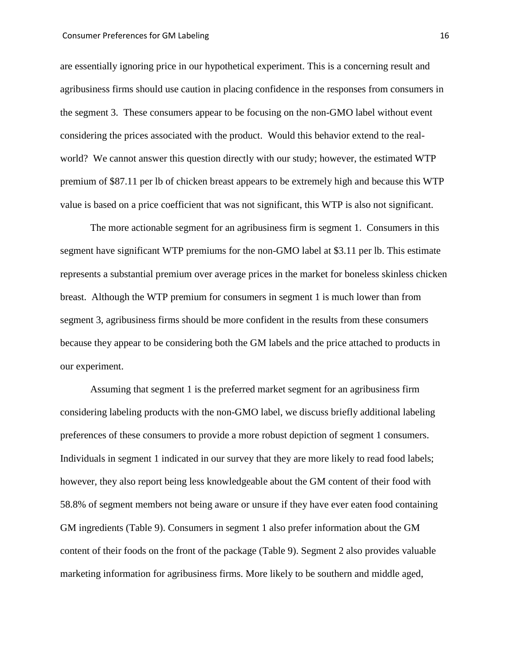are essentially ignoring price in our hypothetical experiment. This is a concerning result and agribusiness firms should use caution in placing confidence in the responses from consumers in the segment 3. These consumers appear to be focusing on the non-GMO label without event considering the prices associated with the product. Would this behavior extend to the realworld? We cannot answer this question directly with our study; however, the estimated WTP premium of \$87.11 per lb of chicken breast appears to be extremely high and because this WTP value is based on a price coefficient that was not significant, this WTP is also not significant.

The more actionable segment for an agribusiness firm is segment 1. Consumers in this segment have significant WTP premiums for the non-GMO label at \$3.11 per lb. This estimate represents a substantial premium over average prices in the market for boneless skinless chicken breast. Although the WTP premium for consumers in segment 1 is much lower than from segment 3, agribusiness firms should be more confident in the results from these consumers because they appear to be considering both the GM labels and the price attached to products in our experiment.

Assuming that segment 1 is the preferred market segment for an agribusiness firm considering labeling products with the non-GMO label, we discuss briefly additional labeling preferences of these consumers to provide a more robust depiction of segment 1 consumers. Individuals in segment 1 indicated in our survey that they are more likely to read food labels; however, they also report being less knowledgeable about the GM content of their food with 58.8% of segment members not being aware or unsure if they have ever eaten food containing GM ingredients (Table 9). Consumers in segment 1 also prefer information about the GM content of their foods on the front of the package (Table 9). Segment 2 also provides valuable marketing information for agribusiness firms. More likely to be southern and middle aged,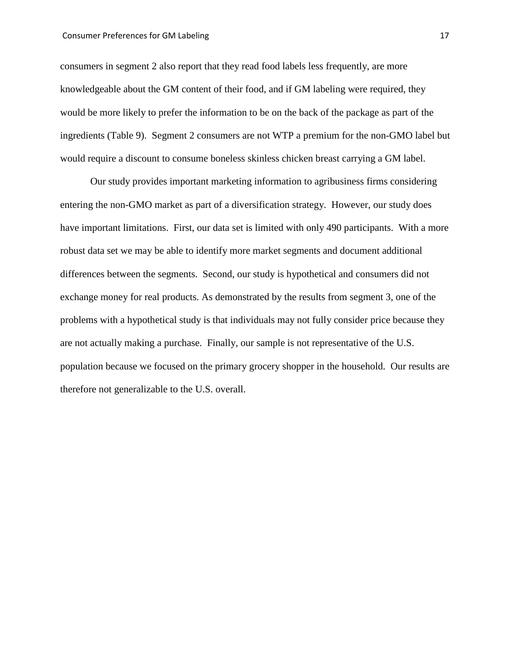#### Consumer Preferences for GM Labeling 17 and 17 and 17 and 17 and 17 and 17 and 17 and 17 and 17 and 17 and 17 and 17 and 17 and 17 and 17 and 17 and 17 and 17 and 17 and 17 and 17 and 17 and 17 and 17 and 17 and 17 and 17

consumers in segment 2 also report that they read food labels less frequently, are more knowledgeable about the GM content of their food, and if GM labeling were required, they would be more likely to prefer the information to be on the back of the package as part of the ingredients (Table 9). Segment 2 consumers are not WTP a premium for the non-GMO label but would require a discount to consume boneless skinless chicken breast carrying a GM label.

Our study provides important marketing information to agribusiness firms considering entering the non-GMO market as part of a diversification strategy. However, our study does have important limitations. First, our data set is limited with only 490 participants. With a more robust data set we may be able to identify more market segments and document additional differences between the segments. Second, our study is hypothetical and consumers did not exchange money for real products. As demonstrated by the results from segment 3, one of the problems with a hypothetical study is that individuals may not fully consider price because they are not actually making a purchase. Finally, our sample is not representative of the U.S. population because we focused on the primary grocery shopper in the household. Our results are therefore not generalizable to the U.S. overall.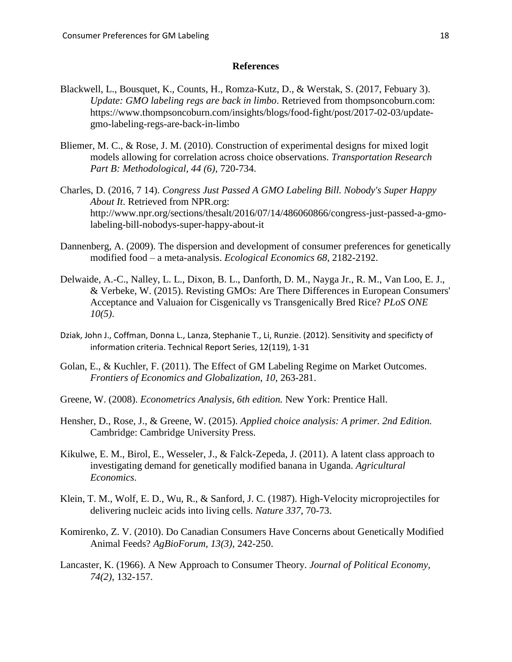#### **References**

- Blackwell, L., Bousquet, K., Counts, H., Romza-Kutz, D., & Werstak, S. (2017, Febuary 3). *Update: GMO labeling regs are back in limbo*. Retrieved from thompsoncoburn.com: https://www.thompsoncoburn.com/insights/blogs/food-fight/post/2017-02-03/updategmo-labeling-regs-are-back-in-limbo
- Bliemer, M. C., & Rose, J. M. (2010). Construction of experimental designs for mixed logit models allowing for correlation across choice observations. *Transportation Research Part B: Methodological, 44 (6)*, 720-734.
- Charles, D. (2016, 7 14). *Congress Just Passed A GMO Labeling Bill. Nobody's Super Happy About It*. Retrieved from NPR.org: http://www.npr.org/sections/thesalt/2016/07/14/486060866/congress-just-passed-a-gmolabeling-bill-nobodys-super-happy-about-it
- Dannenberg, A. (2009). The dispersion and development of consumer preferences for genetically modified food – a meta-analysis. *Ecological Economics 68*, 2182-2192.
- Delwaide, A.-C., Nalley, L. L., Dixon, B. L., Danforth, D. M., Nayga Jr., R. M., Van Loo, E. J., & Verbeke, W. (2015). Revisting GMOs: Are There Differences in European Consumers' Acceptance and Valuaion for Cisgenically vs Transgenically Bred Rice? *PLoS ONE 10(5)*.
- Dziak, John J., Coffman, Donna L., Lanza, Stephanie T., Li, Runzie. (2012). Sensitivity and specificty of information criteria. Technical Report Series, 12(119), 1-31
- Golan, E., & Kuchler, F. (2011). The Effect of GM Labeling Regime on Market Outcomes. *Frontiers of Economics and Globalization, 10*, 263-281.
- Greene, W. (2008). *Econometrics Analysis, 6th edition.* New York: Prentice Hall.
- Hensher, D., Rose, J., & Greene, W. (2015). *Applied choice analysis: A primer. 2nd Edition.* Cambridge: Cambridge University Press.
- Kikulwe, E. M., Birol, E., Wesseler, J., & Falck-Zepeda, J. (2011). A latent class approach to investigating demand for genetically modified banana in Uganda. *Agricultural Economics*.
- Klein, T. M., Wolf, E. D., Wu, R., & Sanford, J. C. (1987). High-Velocity microprojectiles for delivering nucleic acids into living cells. *Nature 337*, 70-73.
- Komirenko, Z. V. (2010). Do Canadian Consumers Have Concerns about Genetically Modified Animal Feeds? *AgBioForum, 13(3)*, 242-250.
- Lancaster, K. (1966). A New Approach to Consumer Theory. *Journal of Political Economy, 74(2)*, 132-157.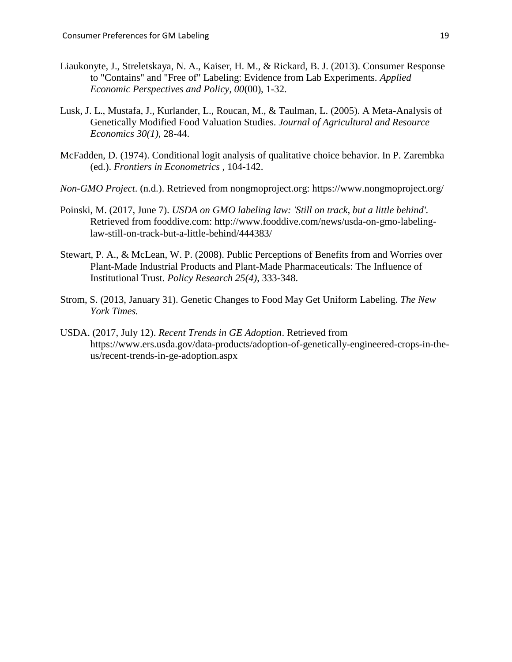- Liaukonyte, J., Streletskaya, N. A., Kaiser, H. M., & Rickard, B. J. (2013). Consumer Response to "Contains" and "Free of" Labeling: Evidence from Lab Experiments. *Applied Economic Perspectives and Policy, 00*(00), 1-32.
- Lusk, J. L., Mustafa, J., Kurlander, L., Roucan, M., & Taulman, L. (2005). A Meta-Analysis of Genetically Modified Food Valuation Studies. *Journal of Agricultural and Resource Economics 30(1)*, 28-44.
- McFadden, D. (1974). Conditional logit analysis of qualitative choice behavior. In P. Zarembka (ed.). *Frontiers in Econometrics* , 104-142.
- *Non-GMO Project*. (n.d.). Retrieved from nongmoproject.org: https://www.nongmoproject.org/
- Poinski, M. (2017, June 7). *USDA on GMO labeling law: 'Still on track, but a little behind'.* Retrieved from fooddive.com: http://www.fooddive.com/news/usda-on-gmo-labelinglaw-still-on-track-but-a-little-behind/444383/
- Stewart, P. A., & McLean, W. P. (2008). Public Perceptions of Benefits from and Worries over Plant-Made Industrial Products and Plant-Made Pharmaceuticals: The Influence of Institutional Trust. *Policy Research 25(4)*, 333-348.
- Strom, S. (2013, January 31). Genetic Changes to Food May Get Uniform Labeling. *The New York Times.*
- USDA. (2017, July 12). *Recent Trends in GE Adoption*. Retrieved from https://www.ers.usda.gov/data-products/adoption-of-genetically-engineered-crops-in-theus/recent-trends-in-ge-adoption.aspx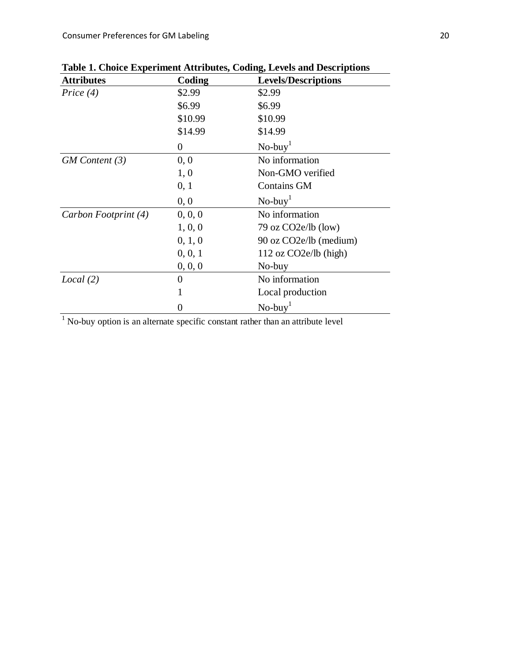| <b>Attributes</b>    | Coding         | <b>Levels/Descriptions</b> |
|----------------------|----------------|----------------------------|
| Price $(4)$          | \$2.99         | \$2.99                     |
|                      | \$6.99         | \$6.99                     |
|                      | \$10.99        | \$10.99                    |
|                      | \$14.99        | \$14.99                    |
|                      | $\overline{0}$ | $No$ -buy <sup>1</sup>     |
| $GM$ Content $(3)$   | 0, 0           | No information             |
|                      | 1, 0           | Non-GMO verified           |
|                      | 0, 1           | <b>Contains GM</b>         |
|                      | 0, 0           | $No$ -buy <sup>1</sup>     |
| Carbon Footprint (4) | 0, 0, 0        | No information             |
|                      | 1, 0, 0        | 79 oz $CO2e/b$ (low)       |
|                      | 0, 1, 0        | 90 oz CO2e/lb (medium)     |
|                      | 0, 0, 1        | $112$ oz $CO2e/lb$ (high)  |
|                      | 0, 0, 0        | No-buy                     |
| Local(2)             | 0              | No information             |
|                      | 1              | Local production           |
|                      | 0              | $No$ -buy                  |

**Table 1. Choice Experiment Attributes, Coding, Levels and Descriptions**

 $<sup>1</sup>$  No-buy option is an alternate specific constant rather than an attribute level</sup>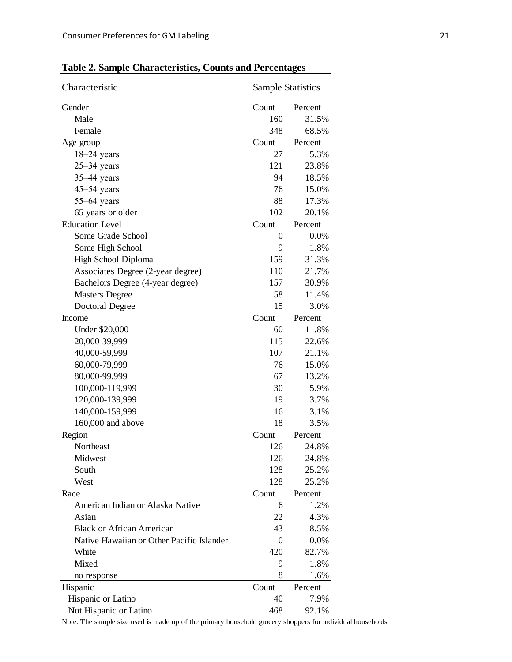| Characteristic                            | <b>Sample Statistics</b> |         |  |
|-------------------------------------------|--------------------------|---------|--|
| Gender                                    | Count                    | Percent |  |
| Male                                      | 160                      | 31.5%   |  |
| Female                                    | 348                      | 68.5%   |  |
| Age group                                 | Count                    | Percent |  |
| $18-24$ years                             | 27                       | 5.3%    |  |
| $25 - 34$ years                           | 121                      | 23.8%   |  |
| $35-44$ years                             | 94                       | 18.5%   |  |
| $45-54$ years                             | 76                       | 15.0%   |  |
| $55-64$ years                             | 88                       | 17.3%   |  |
| 65 years or older                         | 102                      | 20.1%   |  |
| <b>Education Level</b>                    | Count                    | Percent |  |
| Some Grade School                         | 0                        | 0.0%    |  |
| Some High School                          | 9                        | 1.8%    |  |
| High School Diploma                       | 159                      | 31.3%   |  |
| Associates Degree (2-year degree)         | 110                      | 21.7%   |  |
| Bachelors Degree (4-year degree)          | 157                      | 30.9%   |  |
| <b>Masters Degree</b>                     | 58                       | 11.4%   |  |
| <b>Doctoral Degree</b>                    | 15                       | 3.0%    |  |
| <b>Income</b>                             | Count                    | Percent |  |
| Under \$20,000                            | 60                       | 11.8%   |  |
| 20,000-39,999                             | 115                      | 22.6%   |  |
| 40,000-59,999                             | 107                      | 21.1%   |  |
| 60,000-79,999                             | 76                       | 15.0%   |  |
| 80,000-99,999                             | 67                       | 13.2%   |  |
| 100,000-119,999                           | 30                       | 5.9%    |  |
| 120,000-139,999                           | 19                       | 3.7%    |  |
| 140,000-159,999                           | 16                       | 3.1%    |  |
| $160,000$ and above                       | 18                       | 3.5%    |  |
| Region                                    | Count                    | Percent |  |
| Northeast                                 | 126                      | 24.8%   |  |
| Midwest                                   |                          |         |  |
| South                                     | 126                      | 24.8%   |  |
|                                           | 128                      | 25.2%   |  |
| West                                      | 128                      | 25.2%   |  |
| Race<br>American Indian or Alaska Native  | Count<br>6               | Percent |  |
|                                           |                          | 1.2%    |  |
| Asian                                     | 22                       | 4.3%    |  |
| <b>Black or African American</b>          | 43                       | 8.5%    |  |
| Native Hawaiian or Other Pacific Islander | 0                        | 0.0%    |  |
| White                                     | 420                      | 82.7%   |  |
| Mixed                                     | 9                        | 1.8%    |  |
| no response                               | 8                        | 1.6%    |  |
| Hispanic                                  | Count                    | Percent |  |
| Hispanic or Latino                        | 40                       | 7.9%    |  |
| Not Hispanic or Latino                    | 468                      | 92.1%   |  |

**Table 2. Sample Characteristics, Counts and Percentages**

Note: The sample size used is made up of the primary household grocery shoppers for individual households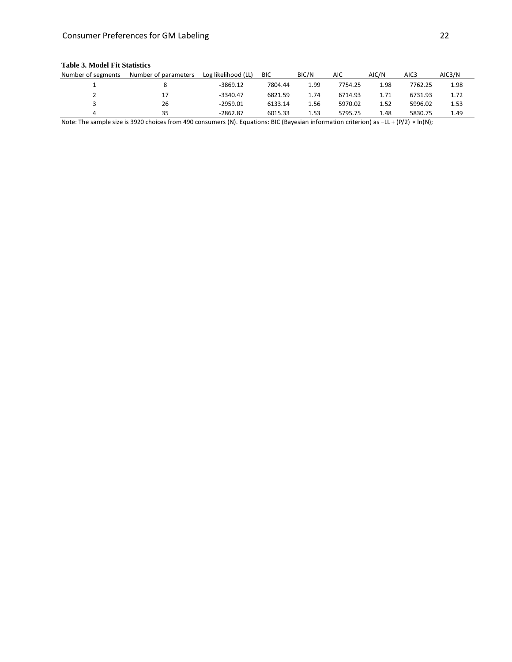#### Consumer Preferences for GM Labeling 22

#### Number of segments Number of parameters Log likelihood (LL) BIC BIC/N AIC AIC/N AIC3 AIC3/N 1 8 -3869.12 7804.44 1.99 7754.25 1.98 7762.25 1.98 2 17 -3340.47 6821.59 1.74 6714.93 1.71 6731.93 1.72 3 26 -2959.01 6133.14 1.56 5970.02 1.52 5996.02 1.53 4 35 -2862.87 6015.33 1.53 5795.75 1.48 5830.75 1.49

#### **Table 3. Model Fit Statistics**

Note: The sample size is 3920 choices from 490 consumers (N). Equations: BIC (Bayesian information criterion) as −LL + (P/2) \* ln(N);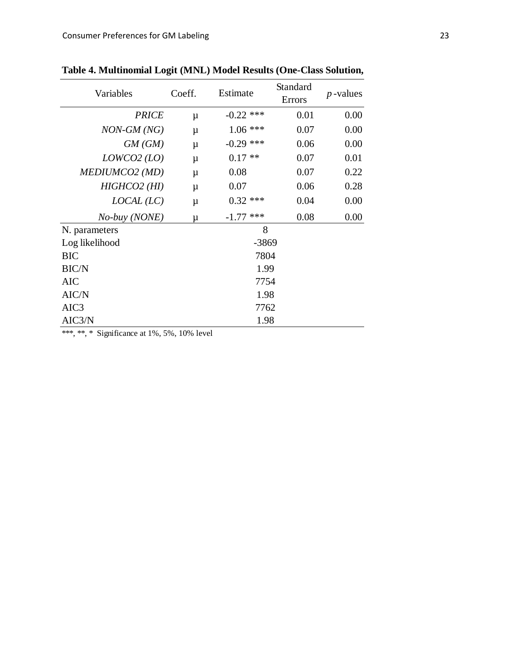| Variables        | Coeff. | Estimate       | Standard<br>Errors | $p$ -values |  |  |  |  |
|------------------|--------|----------------|--------------------|-------------|--|--|--|--|
| <b>PRICE</b>     | μ      | $-0.22$ ***    | 0.01               | 0.00        |  |  |  |  |
| $NON-GM (NG)$    | $\mu$  | $1.06$ ***     | 0.07               | 0.00        |  |  |  |  |
| GM(GM)           | $\mu$  | $-0.29$ ***    | 0.06               | 0.00        |  |  |  |  |
| LOWCO2 (LO)      | μ      | $0.17**$       | 0.07               | 0.01        |  |  |  |  |
| MEDIUMCO2 (MD)   | $\mu$  | 0.08           | 0.07               | 0.22        |  |  |  |  |
| $HIGHCO2$ (HI)   | μ      | 0.07           | 0.06               | 0.28        |  |  |  |  |
| LOCAL (LC)       | μ      | $0.32$ ***     | 0.04               | 0.00        |  |  |  |  |
| No-buy (NONE)    | μ      | ***<br>$-1.77$ | 0.08               | 0.00        |  |  |  |  |
| N. parameters    |        | 8              |                    |             |  |  |  |  |
| Log likelihood   |        | $-3869$        |                    |             |  |  |  |  |
| <b>BIC</b>       |        | 7804           |                    |             |  |  |  |  |
| <b>BIC/N</b>     |        | 1.99           |                    |             |  |  |  |  |
| <b>AIC</b>       | 7754   |                |                    |             |  |  |  |  |
| AIC/N            | 1.98   |                |                    |             |  |  |  |  |
| AIC <sub>3</sub> | 7762   |                |                    |             |  |  |  |  |
| AIC3/N           |        | 1.98           |                    |             |  |  |  |  |

Table 4. Multinomial Logit (MNL) Model Results (One-Class Solution,

\*\*\*, \*\*, \* Significance at  $1\%$ , 5%, 10% level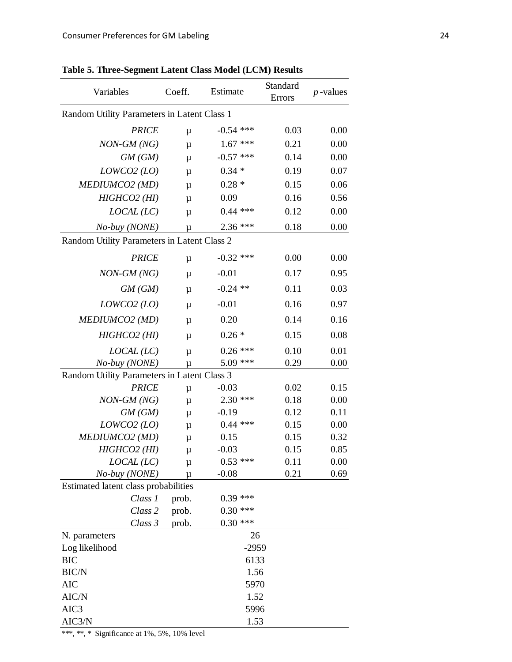| Variables                                   | Coeff. | Estimate    | Standard<br>Errors | $p$ -values |
|---------------------------------------------|--------|-------------|--------------------|-------------|
| Random Utility Parameters in Latent Class 1 |        |             |                    |             |
| <b>PRICE</b>                                | $\mu$  | $-0.54$ *** | 0.03               | 0.00        |
| $NON-GM (NG)$                               | $\mu$  | $1.67$ ***  | 0.21               | 0.00        |
| GM(GM)                                      | μ      | $-0.57$ *** | 0.14               | 0.00        |
| LOWCO2 (LO)                                 | μ      | $0.34 *$    | 0.19               | 0.07        |
| MEDIUMCO2 (MD)                              | $\mu$  | $0.28*$     | 0.15               | 0.06        |
| $HIGHCO2$ (HI)                              | $\mu$  | 0.09        | 0.16               | 0.56        |
| LOCAL (LC)                                  | $\mu$  | $0.44$ ***  | 0.12               | 0.00        |
| No-buy (NONE)                               | μ      | 2.36 ***    | 0.18               | 0.00        |
| Random Utility Parameters in Latent Class 2 |        |             |                    |             |
| <b>PRICE</b>                                | $\mu$  | $-0.32$ *** | 0.00               | 0.00        |
| $NON-GM (NG)$                               | $\mu$  | $-0.01$     | 0.17               | 0.95        |
| GM(GM)                                      | $\mu$  | $-0.24$ **  | 0.11               | 0.03        |
| LOWCO2 (LO)                                 | $\mu$  | $-0.01$     | 0.16               | 0.97        |
| MEDIUMCO2 (MD)                              | $\mu$  | 0.20        | 0.14               | 0.16        |
| $HIGHCO2$ (HI)                              | $\mu$  | $0.26*$     | 0.15               | 0.08        |
| LOCAL (LC)                                  | $\mu$  | $0.26$ ***  | 0.10               | 0.01        |
| No-buy (NONE)                               | μ      | 5.09 ***    | 0.29               | 0.00        |
| Random Utility Parameters in Latent Class 3 |        |             |                    |             |
| <b>PRICE</b>                                | $\mu$  | $-0.03$     | 0.02               | 0.15        |
| $NON-GM (NG)$                               | μ      | $2.30$ ***  | 0.18               | 0.00        |
| GM(GM)                                      | μ      | $-0.19$     | 0.12               | 0.11        |
| LOWCO2 (LO)                                 | μ      | $0.44$ ***  | 0.15               | 0.00        |
| MEDIUMCO2 (MD)                              | $\mu$  | 0.15        | 0.15               | 0.32        |
| $HIGHCO2$ (HI)                              | μ      | $-0.03$     | 0.15               | 0.85        |
| LOCAL (LC)                                  | μ      | $0.53$ ***  | 0.11               | 0.00        |
| No-buy (NONE)                               | μ      | $-0.08$     | 0.21               | 0.69        |
| Estimated latent class probabilities        |        |             |                    |             |
| Class 1                                     | prob.  | $0.39$ ***  |                    |             |
| Class 2                                     | prob.  | $0.30$ ***  |                    |             |
| Class 3                                     | prob.  | $0.30$ ***  |                    |             |
| N. parameters                               |        | 26          |                    |             |
| Log likelihood                              |        | $-2959$     |                    |             |
| <b>BIC</b>                                  |        | 6133        |                    |             |
| BIC/N                                       |        | 1.56        |                    |             |
| <b>AIC</b>                                  |        | 5970        |                    |             |
| AIC/N                                       |        | 1.52        |                    |             |
| AIC3                                        |        | 5996        |                    |             |
| AIC3/N                                      |        | 1.53        |                    |             |

**Table 5. Three-Segment Latent Class Model (LCM) Results** 

\*\*\*, \*\*, \* Significance at 1%, 5%, 10% level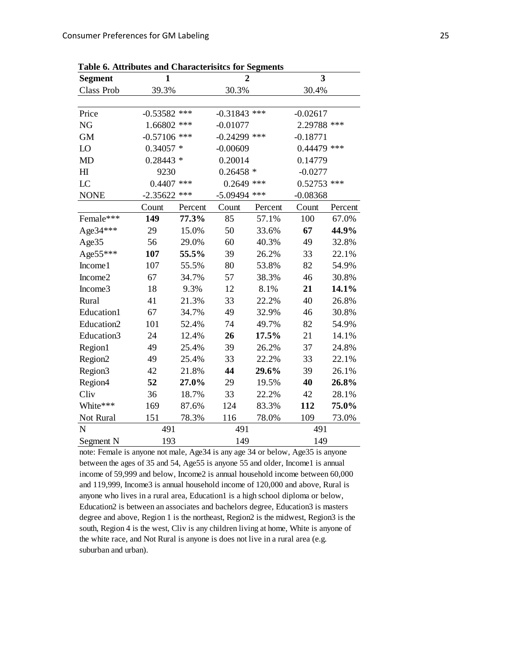| Table 6. Attributes and Characteristics for Segments |                |         |                |                |               |         |  |
|------------------------------------------------------|----------------|---------|----------------|----------------|---------------|---------|--|
| <b>Segment</b>                                       | 1              |         |                | $\overline{2}$ | 3             |         |  |
| Class Prob                                           | 39.3%          |         | 30.3%          |                | 30.4%         |         |  |
|                                                      |                |         |                |                |               |         |  |
| Price                                                | $-0.53582$ *** |         | $-0.31843$ *** |                | $-0.02617$    |         |  |
| NG                                                   | 1.66802 ***    |         | $-0.01077$     |                | 2.29788 ***   |         |  |
| <b>GM</b>                                            | $-0.57106$ *** |         | $-0.24299$ *** |                | $-0.18771$    |         |  |
| LO                                                   | $0.34057*$     |         | $-0.00609$     |                | $0.44479$ *** |         |  |
| <b>MD</b>                                            | $0.28443*$     |         | 0.20014        |                | 0.14779       |         |  |
| H1                                                   | 9230           |         | $0.26458*$     |                | $-0.0277$     |         |  |
| LC                                                   | $0.4407$ ***   |         | $0.2649$ ***   |                | $0.52753$ *** |         |  |
| <b>NONE</b>                                          | $-2.35622$     | ***     | $-5.09494$     | ***            | $-0.08368$    |         |  |
|                                                      | Count          | Percent | Count          | Percent        | Count         | Percent |  |
| Female***                                            | 149            | 77.3%   | 85             | 57.1%          | 100           | 67.0%   |  |
| Age 34***                                            | 29             | 15.0%   | 50             | 33.6%          | 67            | 44.9%   |  |
| Age35                                                | 56             | 29.0%   | 60             | 40.3%          | 49            | 32.8%   |  |
| Age55***                                             | 107            | 55.5%   | 39             | 26.2%          | 33            | 22.1%   |  |
| Income1                                              | 107            | 55.5%   | 80             | 53.8%          | 82            | 54.9%   |  |
| Income2                                              | 67             | 34.7%   | 57             | 38.3%          | 46            | 30.8%   |  |
| Income3                                              | 18             | 9.3%    | 12             | 8.1%           | 21            | 14.1%   |  |
| Rural                                                | 41             | 21.3%   | 33             | 22.2%          | 40            | 26.8%   |  |
| Education1                                           | 67             | 34.7%   | 49             | 32.9%          | 46            | 30.8%   |  |
| Education2                                           | 101            | 52.4%   | 74             | 49.7%          | 82            | 54.9%   |  |
| Education3                                           | 24             | 12.4%   | 26             | 17.5%          | 21            | 14.1%   |  |
| Region1                                              | 49             | 25.4%   | 39             | 26.2%          | 37            | 24.8%   |  |
| Region <sub>2</sub>                                  | 49             | 25.4%   | 33             | 22.2%          | 33            | 22.1%   |  |
| Region3                                              | 42             | 21.8%   | 44             | 29.6%          | 39            | 26.1%   |  |
| Region4                                              | 52             | 27.0%   | 29             | 19.5%          | 40            | 26.8%   |  |
| Cliv                                                 | 36             | 18.7%   | 33             | 22.2%          | 42            | 28.1%   |  |
| White***                                             | 169            | 87.6%   | 124            | 83.3%          | 112           | 75.0%   |  |
| Not Rural                                            | 151            | 78.3%   | 116            | 78.0%          | 109           | 73.0%   |  |
| $\mathbf N$                                          | 491            |         | 491            |                | 491           |         |  |
| Segment N                                            | 193            |         | 149            |                | 149           |         |  |

**Table 6. Attributes and Characterisitcs for Segments** 

note: Female is anyone not male, Age34 is any age 34 or below, Age35 is anyone between the ages of 35 and 54, Age55 is anyone 55 and older, Income1 is annual income of 59,999 and below, Income2 is annual household income between 60,000 and 119,999, Income3 is annual household income of 120,000 and above, Rural is anyone who lives in a rural area, Education1 is a high school diploma or below, Education2 is between an associates and bachelors degree, Education3 is masters degree and above, Region 1 is the northeast, Region2 is the midwest, Region3 is the south, Region 4 is the west, Cliv is any children living at home, White is anyone of the white race, and Not Rural is anyone is does not live in a rural area (e.g. suburban and urban).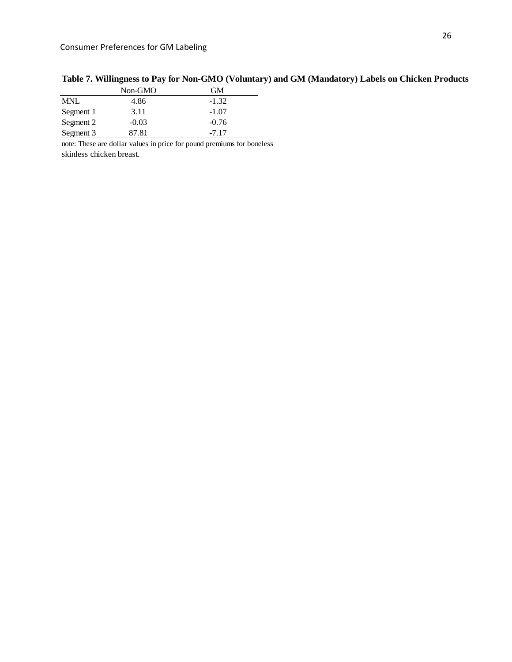|            | Non-GMO | GM      |
|------------|---------|---------|
| <b>MNL</b> | 4.86    | $-1.32$ |
| Segment 1  | 3.11    | $-1.07$ |
| Segment 2  | $-0.03$ | $-0.76$ |
| Segment 3  | 87.81   | $-7.17$ |

**Table 7. Willingness to Pay for Non-GMO (Voluntary) and GM (Mandatory) Labels on Chicken Products**

note: These are dollar values in price for pound premiums for boneless skinless chicken breast.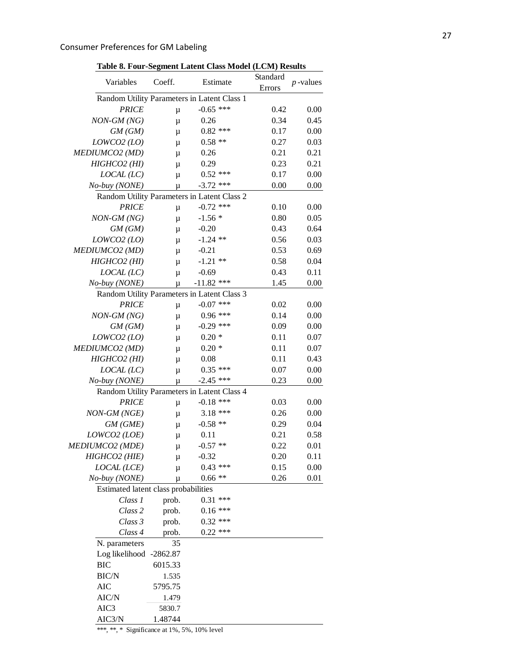|                                      |         | Table 8. Four-Segment Latent Class Model (LCM) Results |                    |             |
|--------------------------------------|---------|--------------------------------------------------------|--------------------|-------------|
| Variables                            | Coeff.  | Estimate                                               | Standard<br>Errors | $p$ -values |
|                                      |         | Random Utility Parameters in Latent Class 1            |                    |             |
| <b>PRICE</b>                         | μ       | $-0.65$ ***                                            | 0.42               | 0.00        |
| NON-GM (NG)                          | μ       | 0.26                                                   | 0.34               | 0.45        |
| GM(GM)                               | μ       | $0.82$ ***                                             | 0.17               | 0.00        |
| LOWCO2 (LO)                          | μ       | $0.58**$                                               | 0.27               | 0.03        |
| MEDIUMCO2 (MD)                       | μ       | 0.26                                                   | 0.21               | 0.21        |
| $HIGHCO2$ (HI)                       | μ       | 0.29                                                   | 0.23               | 0.21        |
| LOCAL (LC)                           | $\mu$   | $0.52$ ***                                             | 0.17               | 0.00        |
| No-buy (NONE)                        | μ       | $-3.72$ ***                                            | 0.00               | 0.00        |
|                                      |         | Random Utility Parameters in Latent Class 2            |                    |             |
| <b>PRICE</b>                         | μ       | $-0.72$ ***                                            | 0.10               | 0.00        |
| $NON-GM (NG)$                        | μ       | $-1.56*$                                               | 0.80               | 0.05        |
| GM(GM)                               | μ       | $-0.20$                                                | 0.43               | 0.64        |
| LOWCO2 (LO)                          | μ       | $-1.24$ **                                             | 0.56               | 0.03        |
| MEDIUMCO2 (MD)                       | μ       | $-0.21$                                                | 0.53               | 0.69        |
| $HIGHCO2$ (HI)                       | μ       | $-1.21$ **                                             | 0.58               | 0.04        |
| LOCAL (LC)                           | $\mu$   | $-0.69$                                                | 0.43               | 0.11        |
| No-buy (NONE)                        | μ       | $-11.82$ ***                                           | 1.45               | 0.00        |
|                                      |         | Random Utility Parameters in Latent Class 3            |                    |             |
| <b>PRICE</b>                         | μ       | $-0.07$ ***                                            | 0.02               | 0.00        |
| NON-GM (NG)                          | μ       | $0.96***$                                              | 0.14               | 0.00        |
| GM(GM)                               | μ       | $-0.29$ ***                                            | 0.09               | 0.00        |
| LOWCO2 (LO)                          | μ       | $0.20*$                                                | 0.11               | 0.07        |
| MEDIUMCO2 (MD)                       | μ       | $0.20*$                                                | 0.11               | 0.07        |
| $HIGHCO2$ (HI)                       | μ       | 0.08                                                   | 0.11               | 0.43        |
| LOCAL (LC)                           | $\mu$   | $0.35$ ***                                             | 0.07               | 0.00        |
| No-buy (NONE)                        | μ       | $-2.45$ ***                                            | 0.23               | 0.00        |
|                                      |         | Random Utility Parameters in Latent Class 4            |                    |             |
| <b>PRICE</b>                         | μ       | $-0.18$ ***                                            | 0.03               | 0.00        |
| NON-GM (NGE)                         | μ       | $3.18***$                                              | 0.26               | 0.00        |
| GM(GME)                              | μ       | $-0.58$ **                                             | 0.29               | 0.04        |
| LOWCO2 (LOE)                         | μ       | 0.11                                                   | 0.21               | 0.58        |
| <i>MEDIUMCO2 (MDE)</i>               | μ       | $-0.57$ **                                             | 0.22               | 0.01        |
| HIGHCO2 (HIE)                        | μ       | $-0.32$                                                | 0.20               | 0.11        |
| LOCAL (LCE)                          | μ       | $0.43$ ***                                             | 0.15               | 0.00        |
| No-buy (NONE)                        | μ       | $0.66**$                                               | 0.26               | 0.01        |
| Estimated latent class probabilities |         |                                                        |                    |             |
| Class 1                              | prob.   | $0.31***$                                              |                    |             |
| Class 2                              | prob.   | $0.16***$                                              |                    |             |
| Class 3                              | prob.   | $0.32$ ***                                             |                    |             |
| Class 4                              | prob.   | $0.22$ ***                                             |                    |             |
| N. parameters                        | 35      |                                                        |                    |             |
| Log likelihood -2862.87              |         |                                                        |                    |             |
| <b>BIC</b>                           | 6015.33 |                                                        |                    |             |
| <b>BIC/N</b>                         | 1.535   |                                                        |                    |             |
| <b>AIC</b>                           | 5795.75 |                                                        |                    |             |
| AIC/N                                | 1.479   |                                                        |                    |             |
| AIC3                                 | 5830.7  |                                                        |                    |             |
| AIC3/N                               | 1.48744 |                                                        |                    |             |

**Table 8. Four-Segment Latent Class Model (LCM) Results** 

\*\*\*, \*\*, \* Significance at 1%, 5%, 10% level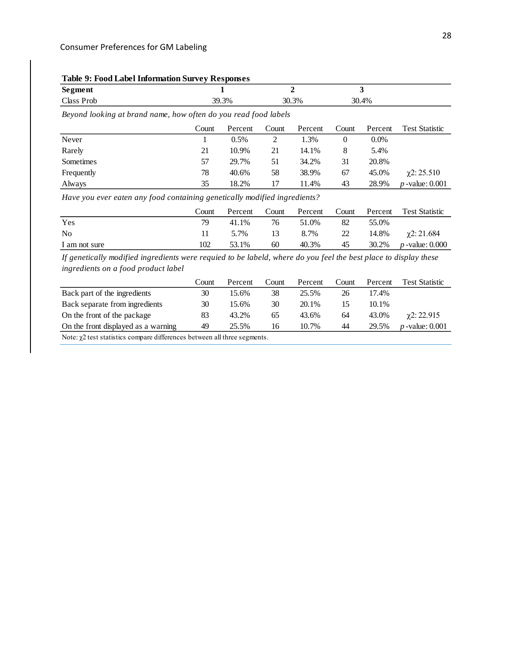### **Table 9: Food Label Information Survey Responses**

| $\mathbf{C}_{\mathbf{A}}$<br>Segment |    |       |       |  |
|--------------------------------------|----|-------|-------|--|
| $Cl$ ass<br>Prot                     | 3% | 30.3% | 30.4% |  |

*Beyond looking at brand name, how often do you read food labels*

|            | Count | Percent | Count | Percent | Count | Percent | <b>Test Statistic</b> |
|------------|-------|---------|-------|---------|-------|---------|-----------------------|
| Never      |       | $0.5\%$ | ∠     | l.3%    |       | $0.0\%$ |                       |
| Rarely     | 21    | 10.9%   | 21    | 14.1%   | 8     | 5.4%    |                       |
| Sometimes  | 57    | 29.7%   | 51    | 34.2%   | 31    | 20.8%   |                       |
| Frequently | 78    | 40.6%   | 58    | 38.9%   | 67    | 45.0%   | $\gamma$ 2: 25.510    |
| Always     | 35    | 18.2%   | 17    | 11.4%   | 43    | 28.9%   | $p$ -value: 0.001     |

*Have you ever eaten any food containing genetically modified ingredients?*

|               | Count | Percent | Count | Percent | Count |       | Percent Test Statistic        |
|---------------|-------|---------|-------|---------|-------|-------|-------------------------------|
| Yes           |       | 41.1%   | 76    | 51.0%   | 82    | 55.0% |                               |
| No            |       | 5.7%    | 13    | 8.7% 22 |       |       | $14.8\%$ $\chi$ 2: 21.684     |
| I am not sure | 102   | 53.1%   | 60    | 40.3%   | 45    |       | 30.2\% <i>p</i> -value: 0.000 |

*If genetically modified ingredients were requied to be labeld, where do you feel the best place to display these ingredients on a food product label*

|                                                                                  | Count | Percent | Count | Percent | Count | Percent | <b>Test Statistic</b> |  |
|----------------------------------------------------------------------------------|-------|---------|-------|---------|-------|---------|-----------------------|--|
| Back part of the ingredients                                                     | 30    | 15.6%   | 38    | 25.5%   | 26    | 17.4%   |                       |  |
| Back separate from ingredients                                                   | 30    | 15.6%   | 30    | 20.1%   |       | 10.1%   |                       |  |
| On the front of the package                                                      | 83    | 43.2%   | 65    | 43.6%   | 64    | 43.0%   | $\gamma$ 2: 22.915    |  |
| On the front displayed as a warning                                              | 49    | 25.5%   | 16    | 10.7%   | 44    | 29.5%   | $p$ -value: $0.001$   |  |
| Note: $\gamma$ 2 test statistics compare differences between all three segments. |       |         |       |         |       |         |                       |  |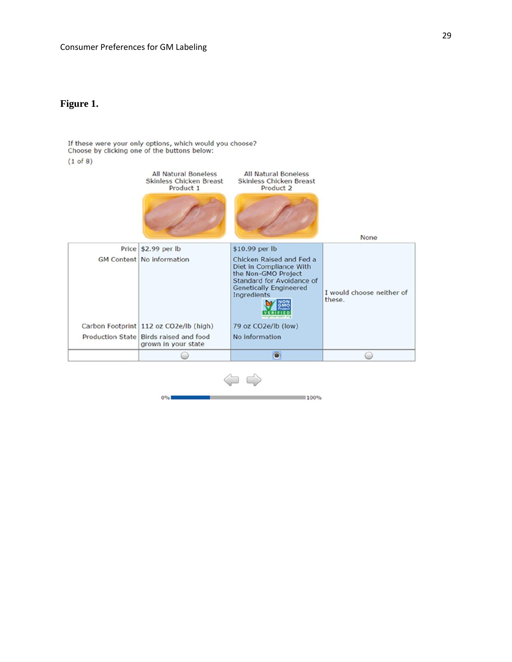### **Figure 1.**

If these were your only options, which would you choose? Choose by clicking one of the buttons below:

#### $(1 of 8)$



**Service** 0%  $100%$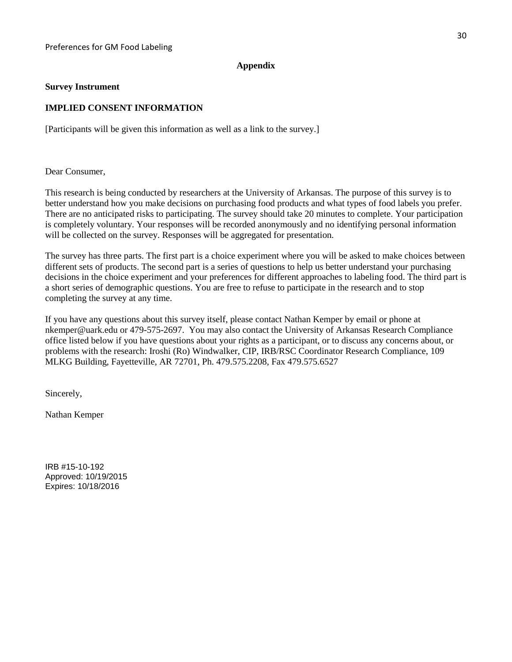#### **Appendix**

#### **Survey Instrument**

#### **IMPLIED CONSENT INFORMATION**

[Participants will be given this information as well as a link to the survey.]

Dear Consumer,

This research is being conducted by researchers at the University of Arkansas. The purpose of this survey is to better understand how you make decisions on purchasing food products and what types of food labels you prefer. There are no anticipated risks to participating. The survey should take 20 minutes to complete. Your participation is completely voluntary. Your responses will be recorded anonymously and no identifying personal information will be collected on the survey. Responses will be aggregated for presentation.

The survey has three parts. The first part is a choice experiment where you will be asked to make choices between different sets of products. The second part is a series of questions to help us better understand your purchasing decisions in the choice experiment and your preferences for different approaches to labeling food. The third part is a short series of demographic questions. You are free to refuse to participate in the research and to stop completing the survey at any time.

If you have any questions about this survey itself, please contact Nathan Kemper by email or phone at nkemper@uark.edu or 479-575-2697. You may also contact the University of Arkansas Research Compliance office listed below if you have questions about your rights as a participant, or to discuss any concerns about, or problems with the research: Iroshi (Ro) Windwalker, CIP, IRB/RSC Coordinator Research Compliance, 109 MLKG Building, Fayetteville, AR 72701, Ph. 479.575.2208, Fax 479.575.6527

Sincerely,

Nathan Kemper

IRB #15-10-192 Approved: 10/19/2015 Expires: 10/18/2016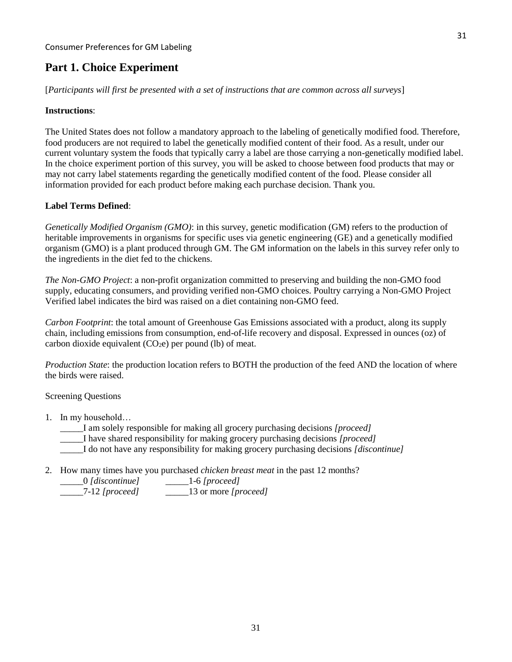# **Part 1. Choice Experiment**

[*Participants will first be presented with a set of instructions that are common across all surveys*]

#### **Instructions**:

The United States does not follow a mandatory approach to the labeling of genetically modified food. Therefore, food producers are not required to label the genetically modified content of their food. As a result, under our current voluntary system the foods that typically carry a label are those carrying a non-genetically modified label. In the choice experiment portion of this survey, you will be asked to choose between food products that may or may not carry label statements regarding the genetically modified content of the food. Please consider all information provided for each product before making each purchase decision. Thank you.

#### **Label Terms Defined**:

*Genetically Modified Organism (GMO)*: in this survey, genetic modification (GM) refers to the production of heritable improvements in organisms for specific uses via genetic engineering (GE) and a genetically modified organism (GMO) is a plant produced through GM. The GM information on the labels in this survey refer only to the ingredients in the diet fed to the chickens.

*The Non-GMO Project*: a non-profit organization committed to preserving and building the non-GMO food supply, educating consumers, and providing verified non-GMO choices. Poultry carrying a Non-GMO Project Verified label indicates the bird was raised on a diet containing non-GMO feed.

*Carbon Footprint*: the total amount of Greenhouse Gas Emissions associated with a product, along its supply chain, including emissions from consumption, end-of-life recovery and disposal. Expressed in ounces (oz) of carbon dioxide equivalent  $(CO<sub>2</sub>e)$  per pound (lb) of meat.

*Production State*: the production location refers to BOTH the production of the feed AND the location of where the birds were raised.

Screening Questions

1. In my household…

I am solely responsible for making all grocery purchasing decisions *[proceed]* 

\_\_\_\_\_I have shared responsibility for making grocery purchasing decisions *[proceed]*

\_\_\_\_\_I do not have any responsibility for making grocery purchasing decisions *[discontinue]*

2. How many times have you purchased *chicken breast meat* in the past 12 months?

| [0] [discontinue] | $-1-6$ [proceed]             |
|-------------------|------------------------------|
| 7.10L             | $\mathbf{1} \cap \mathbf{1}$ |

\_\_\_\_\_7-12 *[proceed]* \_\_\_\_\_13 or more *[proceed]*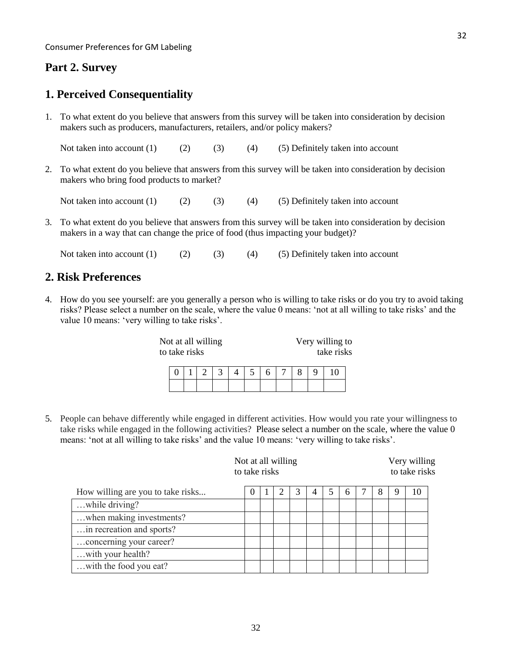# **Part 2. Survey**

# **1. Perceived Consequentiality**

1. To what extent do you believe that answers from this survey will be taken into consideration by decision makers such as producers, manufacturers, retailers, and/or policy makers?

Not taken into account  $(1)$   $(2)$   $(3)$   $(4)$   $(5)$  Definitely taken into account

2. To what extent do you believe that answers from this survey will be taken into consideration by decision makers who bring food products to market?

Not taken into account (1) (2) (3) (4) (5) Definitely taken into account

3. To what extent do you believe that answers from this survey will be taken into consideration by decision makers in a way that can change the price of food (thus impacting your budget)?

Not taken into account  $(1)$   $(2)$   $(3)$   $(4)$   $(5)$  Definitely taken into account

# **2. Risk Preferences**

4. How do you see yourself: are you generally a person who is willing to take risks or do you try to avoid taking risks? Please select a number on the scale, where the value 0 means: 'not at all willing to take risks' and the value 10 means: 'very willing to take risks'.

| Very willing to<br>Not at all willing<br>take risks<br>to take risks |  |  |  |  |  |  |  |  |  |  |    |  |
|----------------------------------------------------------------------|--|--|--|--|--|--|--|--|--|--|----|--|
|                                                                      |  |  |  |  |  |  |  |  |  |  | 10 |  |
|                                                                      |  |  |  |  |  |  |  |  |  |  |    |  |

5. People can behave differently while engaged in different activities. How would you rate your willingness to take risks while engaged in the following activities? Please select a number on the scale, where the value 0 means: 'not at all willing to take risks' and the value 10 means: 'very willing to take risks'.

|                                   | Not at all willing<br>to take risks |  |  |  |   |  |   |  | Very willing<br>to take risks |   |    |
|-----------------------------------|-------------------------------------|--|--|--|---|--|---|--|-------------------------------|---|----|
| How willing are you to take risks |                                     |  |  |  | 4 |  | 6 |  | 8                             | 9 | 10 |
| while driving?                    |                                     |  |  |  |   |  |   |  |                               |   |    |
| when making investments?          |                                     |  |  |  |   |  |   |  |                               |   |    |
| in recreation and sports?         |                                     |  |  |  |   |  |   |  |                               |   |    |
| concerning your career?           |                                     |  |  |  |   |  |   |  |                               |   |    |
| with your health?                 |                                     |  |  |  |   |  |   |  |                               |   |    |
| with the food you eat?            |                                     |  |  |  |   |  |   |  |                               |   |    |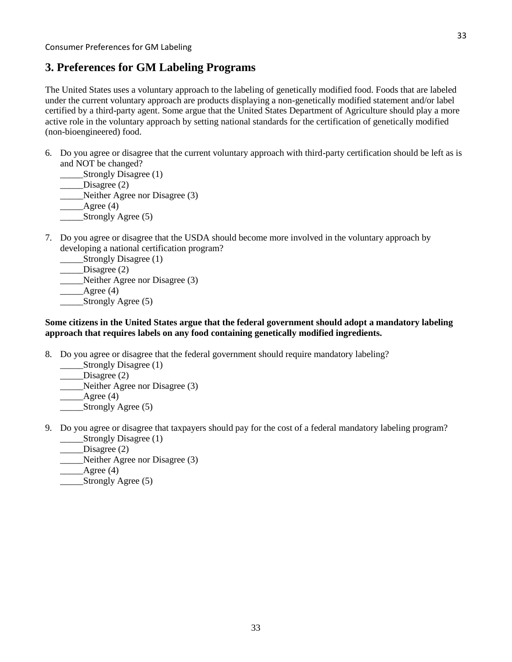# **3. Preferences for GM Labeling Programs**

The United States uses a voluntary approach to the labeling of genetically modified food. Foods that are labeled under the current voluntary approach are products displaying a non-genetically modified statement and/or label certified by a third-party agent. Some argue that the United States Department of Agriculture should play a more active role in the voluntary approach by setting national standards for the certification of genetically modified (non-bioengineered) food.

6. Do you agree or disagree that the current voluntary approach with third-party certification should be left as is and NOT be changed?

\_\_\_\_\_\_Strongly Disagree (1) \_\_\_\_\_\_Disagree (2) \_\_\_\_\_Neither Agree nor Disagree (3)  $\angle$  Agree (4) \_\_\_\_\_Strongly Agree (5)

7. Do you agree or disagree that the USDA should become more involved in the voluntary approach by developing a national certification program?

Strongly Disagree (1) \_\_\_\_\_\_Disagree (2) \_\_\_\_\_Neither Agree nor Disagree (3)  $\qquad \qquad$  Agree (4) **\_\_\_\_\_\_Strongly Agree (5)** 

#### **Some citizens in the United States argue that the federal government should adopt a mandatory labeling approach that requires labels on any food containing genetically modified ingredients.**

8. Do you agree or disagree that the federal government should require mandatory labeling?

Strongly Disagree (1) Disagree (2) \_\_\_\_\_Neither Agree nor Disagree (3) Agree  $(4)$ 

Strongly Agree (5)

- 9. Do you agree or disagree that taxpayers should pay for the cost of a federal mandatory labeling program? Strongly Disagree (1)
	- Disagree (2)
	- \_\_\_\_\_Neither Agree nor Disagree (3)
	- Agree  $(4)$
	- Strongly Agree (5)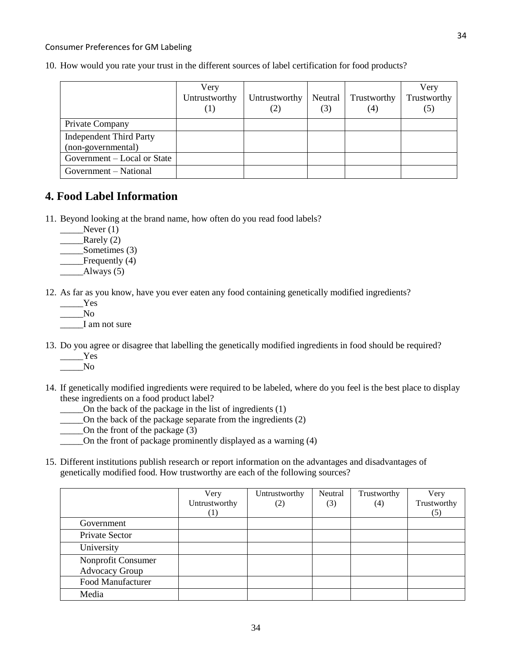#### Consumer Preferences for GM Labeling

10. How would you rate your trust in the different sources of label certification for food products?

|                                | Very<br>Untrustworthy<br>(1) | Untrustworthy<br>$\left( 2\right)$ | Neutral<br>(3) | Trustworthy<br>(4) | Very<br>Trustworthy<br>(5) |
|--------------------------------|------------------------------|------------------------------------|----------------|--------------------|----------------------------|
| Private Company                |                              |                                    |                |                    |                            |
| <b>Independent Third Party</b> |                              |                                    |                |                    |                            |
| (non-governmental)             |                              |                                    |                |                    |                            |
| Government – Local or State    |                              |                                    |                |                    |                            |
| Government – National          |                              |                                    |                |                    |                            |

### **4. Food Label Information**

- 11. Beyond looking at the brand name, how often do you read food labels?
	- $Never (1)$
	- Rarely (2)
	- Sometimes (3)
	- \_\_\_\_Frequently (4)
	- $\_\_\_\_\$ Always (5)
- 12. As far as you know, have you ever eaten any food containing genetically modified ingredients?
	- \_\_\_\_\_Yes  $\overline{N}$ o I am not sure
- 13. Do you agree or disagree that labelling the genetically modified ingredients in food should be required? \_\_\_\_\_Yes

 $\sqrt{N_0}$ 

- 14. If genetically modified ingredients were required to be labeled, where do you feel is the best place to display these ingredients on a food product label?
	- \_\_\_\_\_On the back of the package in the list of ingredients (1)
	- \_\_\_\_\_On the back of the package separate from the ingredients (2)
	- On the front of the package  $(3)$
	- \_\_\_\_\_On the front of package prominently displayed as a warning (4)
- 15. Different institutions publish research or report information on the advantages and disadvantages of genetically modified food. How trustworthy are each of the following sources?

|                          | Very             | Untrustworthy | Neutral | Trustworthy       | Very        |
|--------------------------|------------------|---------------|---------|-------------------|-------------|
|                          | Untrustworthy    | (2)           | (3)     | $\left( 4\right)$ | Trustworthy |
|                          | $\left(1\right)$ |               |         |                   | (5)         |
| Government               |                  |               |         |                   |             |
| Private Sector           |                  |               |         |                   |             |
| University               |                  |               |         |                   |             |
| Nonprofit Consumer       |                  |               |         |                   |             |
| <b>Advocacy Group</b>    |                  |               |         |                   |             |
| <b>Food Manufacturer</b> |                  |               |         |                   |             |
| Media                    |                  |               |         |                   |             |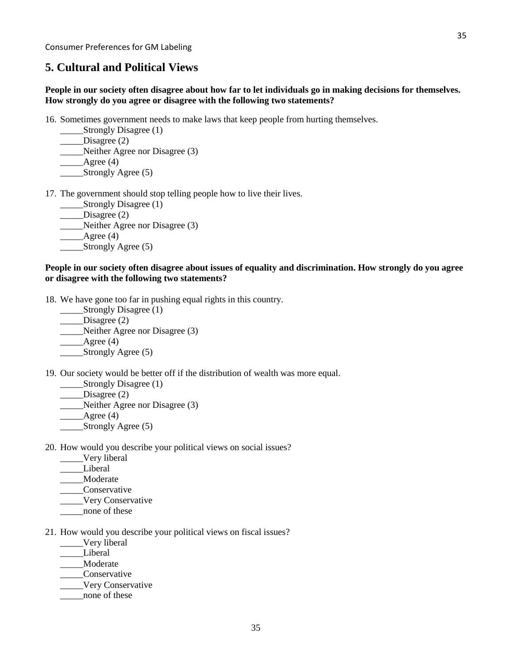### **5. Cultural and Political Views**

#### **People in our society often disagree about how far to let individuals go in making decisions for themselves. How strongly do you agree or disagree with the following two statements?**

16. Sometimes government needs to make laws that keep people from hurting themselves.

- Strongly Disagree (1) \_\_\_\_\_Disagree (2) \_\_\_\_\_Neither Agree nor Disagree (3)
- Agree  $(4)$ \_\_\_\_\_Strongly Agree (5)

17. The government should stop telling people how to live their lives.

Strongly Disagree (1) \_\_\_\_\_Disagree (2) \_\_\_\_\_Neither Agree nor Disagree (3) Agree  $(4)$ \_\_\_\_\_Strongly Agree (5)

#### **People in our society often disagree about issues of equality and discrimination. How strongly do you agree or disagree with the following two statements?**

18. We have gone too far in pushing equal rights in this country.

- \_\_\_\_\_\_Strongly Disagree (1) \_\_\_\_\_\_Disagree (2) \_\_\_\_\_Neither Agree nor Disagree (3)  $\angle$ Agree (4) \_\_\_\_\_Strongly Agree (5)
- 19. Our society would be better off if the distribution of wealth was more equal.
	- \_\_\_\_\_\_Strongly Disagree (1)
	- Disagree  $(2)$
	- Neither Agree nor Disagree (3)
	- $\qquad \qquad \text{Agree (4)}$
	- \_\_\_\_\_Strongly Agree (5)
- 20. How would you describe your political views on social issues?
	- \_\_\_\_\_Very liberal
	- \_\_\_\_\_Liberal
	- \_\_\_\_\_Moderate
	- \_\_\_\_\_Conservative
	- \_\_\_\_\_Very Conservative
	- none of these
- 21. How would you describe your political views on fiscal issues?
	- \_\_\_\_\_Very liberal
	- \_\_\_\_\_Liberal
	- \_\_\_\_\_Moderate
	- \_\_\_\_\_Conservative
	- \_\_\_\_\_Very Conservative
	- \_\_\_\_\_none of these